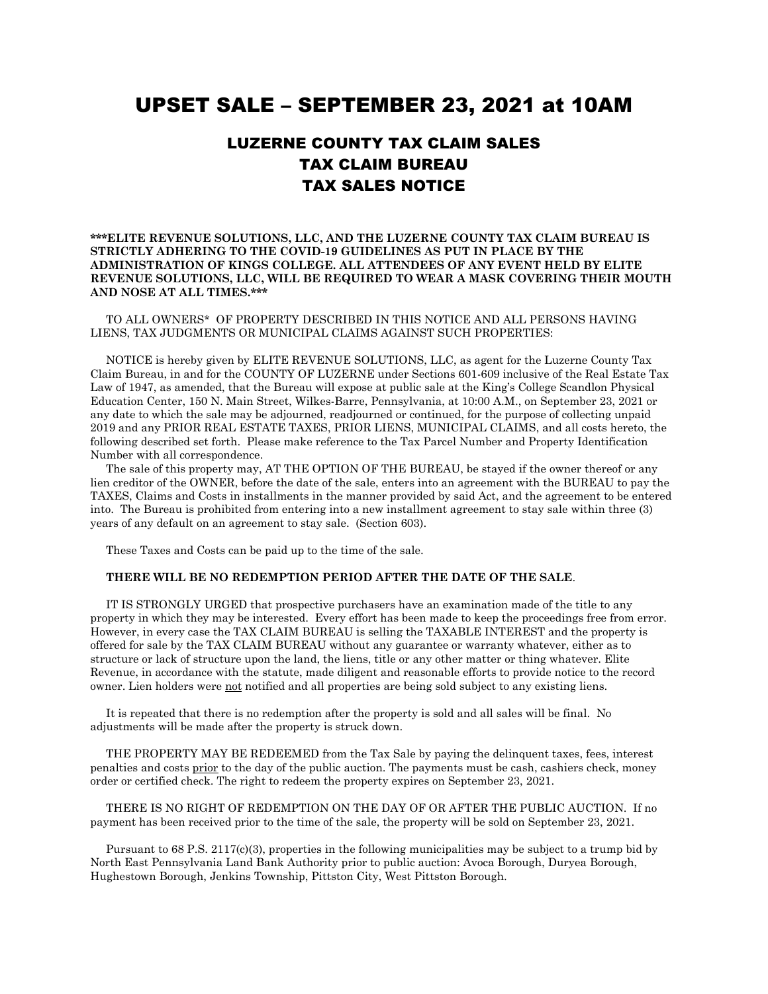## UPSET SALE – SEPTEMBER 23, 2021 at 10AM

## LUZERNE COUNTY TAX CLAIM SALES TAX CLAIM BUREAU TAX SALES NOTICE

## **\*\*\*ELITE REVENUE SOLUTIONS, LLC, AND THE LUZERNE COUNTY TAX CLAIM BUREAU IS STRICTLY ADHERING TO THE COVID-19 GUIDELINES AS PUT IN PLACE BY THE ADMINISTRATION OF KINGS COLLEGE. ALL ATTENDEES OF ANY EVENT HELD BY ELITE REVENUE SOLUTIONS, LLC, WILL BE REQUIRED TO WEAR A MASK COVERING THEIR MOUTH AND NOSE AT ALL TIMES.\*\*\***

 TO ALL OWNERS\* OF PROPERTY DESCRIBED IN THIS NOTICE AND ALL PERSONS HAVING LIENS, TAX JUDGMENTS OR MUNICIPAL CLAIMS AGAINST SUCH PROPERTIES:

 NOTICE is hereby given by ELITE REVENUE SOLUTIONS, LLC, as agent for the Luzerne County Tax Claim Bureau, in and for the COUNTY OF LUZERNE under Sections 601-609 inclusive of the Real Estate Tax Law of 1947, as amended, that the Bureau will expose at public sale at the King's College Scandlon Physical Education Center, 150 N. Main Street, Wilkes-Barre, Pennsylvania, at 10:00 A.M., on September 23, 2021 or any date to which the sale may be adjourned, readjourned or continued, for the purpose of collecting unpaid 2019 and any PRIOR REAL ESTATE TAXES, PRIOR LIENS, MUNICIPAL CLAIMS, and all costs hereto, the following described set forth. Please make reference to the Tax Parcel Number and Property Identification Number with all correspondence.

 The sale of this property may, AT THE OPTION OF THE BUREAU, be stayed if the owner thereof or any lien creditor of the OWNER, before the date of the sale, enters into an agreement with the BUREAU to pay the TAXES, Claims and Costs in installments in the manner provided by said Act, and the agreement to be entered into. The Bureau is prohibited from entering into a new installment agreement to stay sale within three (3) years of any default on an agreement to stay sale. (Section 603).

These Taxes and Costs can be paid up to the time of the sale.

## **THERE WILL BE NO REDEMPTION PERIOD AFTER THE DATE OF THE SALE**.

 IT IS STRONGLY URGED that prospective purchasers have an examination made of the title to any property in which they may be interested. Every effort has been made to keep the proceedings free from error. However, in every case the TAX CLAIM BUREAU is selling the TAXABLE INTEREST and the property is offered for sale by the TAX CLAIM BUREAU without any guarantee or warranty whatever, either as to structure or lack of structure upon the land, the liens, title or any other matter or thing whatever. Elite Revenue, in accordance with the statute, made diligent and reasonable efforts to provide notice to the record owner. Lien holders were not notified and all properties are being sold subject to any existing liens.

 It is repeated that there is no redemption after the property is sold and all sales will be final. No adjustments will be made after the property is struck down.

 THE PROPERTY MAY BE REDEEMED from the Tax Sale by paying the delinquent taxes, fees, interest penalties and costs prior to the day of the public auction. The payments must be cash, cashiers check, money order or certified check. The right to redeem the property expires on September 23, 2021.

 THERE IS NO RIGHT OF REDEMPTION ON THE DAY OF OR AFTER THE PUBLIC AUCTION. If no payment has been received prior to the time of the sale, the property will be sold on September 23, 2021.

Pursuant to 68 P.S. 2117(c)(3), properties in the following municipalities may be subject to a trump bid by North East Pennsylvania Land Bank Authority prior to public auction: Avoca Borough, Duryea Borough, Hughestown Borough, Jenkins Township, Pittston City, West Pittston Borough.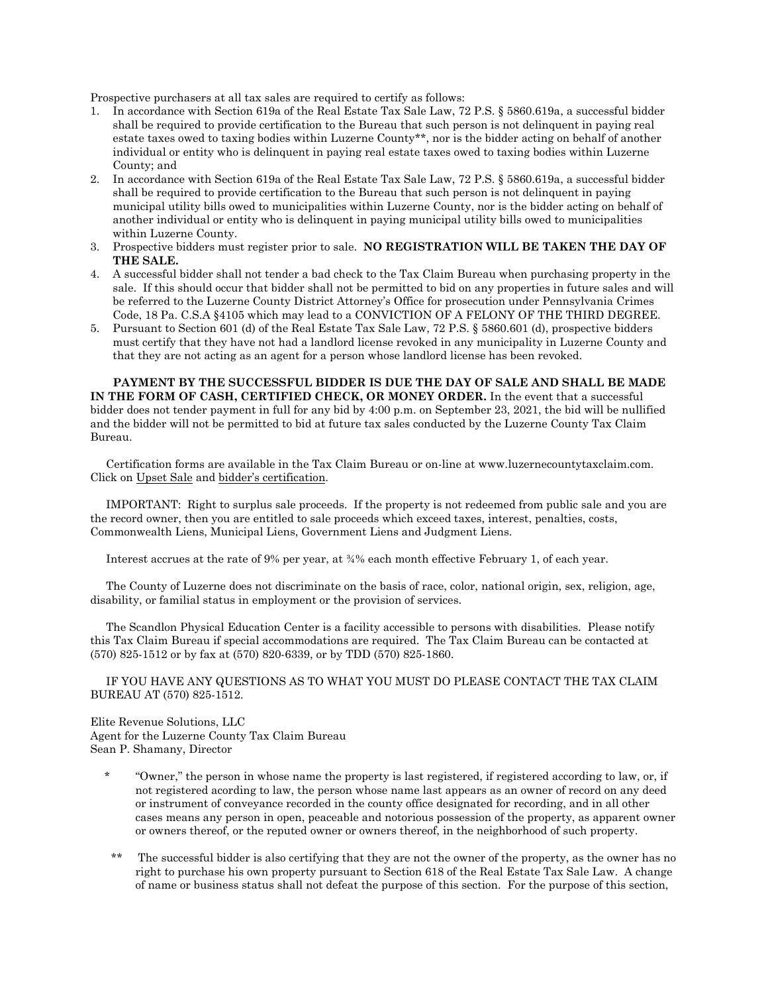Prospective purchasers at all tax sales are required to certify as follows:

- 1. In accordance with Section 619a of the Real Estate Tax Sale Law, 72 P.S. § 5860.619a, a successful bidder shall be required to provide certification to the Bureau that such person is not delinquent in paying real estate taxes owed to taxing bodies within Luzerne County\*\*, nor is the bidder acting on behalf of another individual or entity who is delinquent in paying real estate taxes owed to taxing bodies within Luzerne County; and
- 2. In accordance with Section 619a of the Real Estate Tax Sale Law, 72 P.S. § 5860.619a, a successful bidder shall be required to provide certification to the Bureau that such person is not delinquent in paying municipal utility bills owed to municipalities within Luzerne County, nor is the bidder acting on behalf of another individual or entity who is delinquent in paying municipal utility bills owed to municipalities within Luzerne County.
- 3. Prospective bidders must register prior to sale. **NO REGISTRATION WILL BE TAKEN THE DAY OF THE SALE.**
- 4. A successful bidder shall not tender a bad check to the Tax Claim Bureau when purchasing property in the sale. If this should occur that bidder shall not be permitted to bid on any properties in future sales and will be referred to the Luzerne County District Attorney's Office for prosecution under Pennsylvania Crimes Code, 18 Pa. C.S.A §4105 which may lead to a CONVICTION OF A FELONY OF THE THIRD DEGREE.
- 5. Pursuant to Section 601 (d) of the Real Estate Tax Sale Law, 72 P.S. § 5860.601 (d), prospective bidders must certify that they have not had a landlord license revoked in any municipality in Luzerne County and that they are not acting as an agent for a person whose landlord license has been revoked.

**PAYMENT BY THE SUCCESSFUL BIDDER IS DUE THE DAY OF SALE AND SHALL BE MADE IN THE FORM OF CASH, CERTIFIED CHECK, OR MONEY ORDER.** In the event that a successful bidder does not tender payment in full for any bid by 4:00 p.m. on September 23, 2021, the bid will be nullified and the bidder will not be permitted to bid at future tax sales conducted by the Luzerne County Tax Claim Bureau.

 Certification forms are available in the Tax Claim Bureau or on-line at www.luzernecountytaxclaim.com. Click on Upset Sale and bidder's certification.

 IMPORTANT: Right to surplus sale proceeds. If the property is not redeemed from public sale and you are the record owner, then you are entitled to sale proceeds which exceed taxes, interest, penalties, costs, Commonwealth Liens, Municipal Liens, Government Liens and Judgment Liens.

Interest accrues at the rate of 9% per year, at ¾% each month effective February 1, of each year.

 The County of Luzerne does not discriminate on the basis of race, color, national origin, sex, religion, age, disability, or familial status in employment or the provision of services.

 The Scandlon Physical Education Center is a facility accessible to persons with disabilities. Please notify this Tax Claim Bureau if special accommodations are required. The Tax Claim Bureau can be contacted at (570) 825-1512 or by fax at (570) 820-6339, or by TDD (570) 825-1860.

 IF YOU HAVE ANY QUESTIONS AS TO WHAT YOU MUST DO PLEASE CONTACT THE TAX CLAIM BUREAU AT (570) 825-1512.

Elite Revenue Solutions, LLC Agent for the Luzerne County Tax Claim Bureau Sean P. Shamany, Director

- \* "Owner," the person in whose name the property is last registered, if registered according to law, or, if not registered acording to law, the person whose name last appears as an owner of record on any deed or instrument of conveyance recorded in the county office designated for recording, and in all other cases means any person in open, peaceable and notorious possession of the property, as apparent owner or owners thereof, or the reputed owner or owners thereof, in the neighborhood of such property.
- The successful bidder is also certifying that they are not the owner of the property, as the owner has no right to purchase his own property pursuant to Section 618 of the Real Estate Tax Sale Law. A change of name or business status shall not defeat the purpose of this section. For the purpose of this section,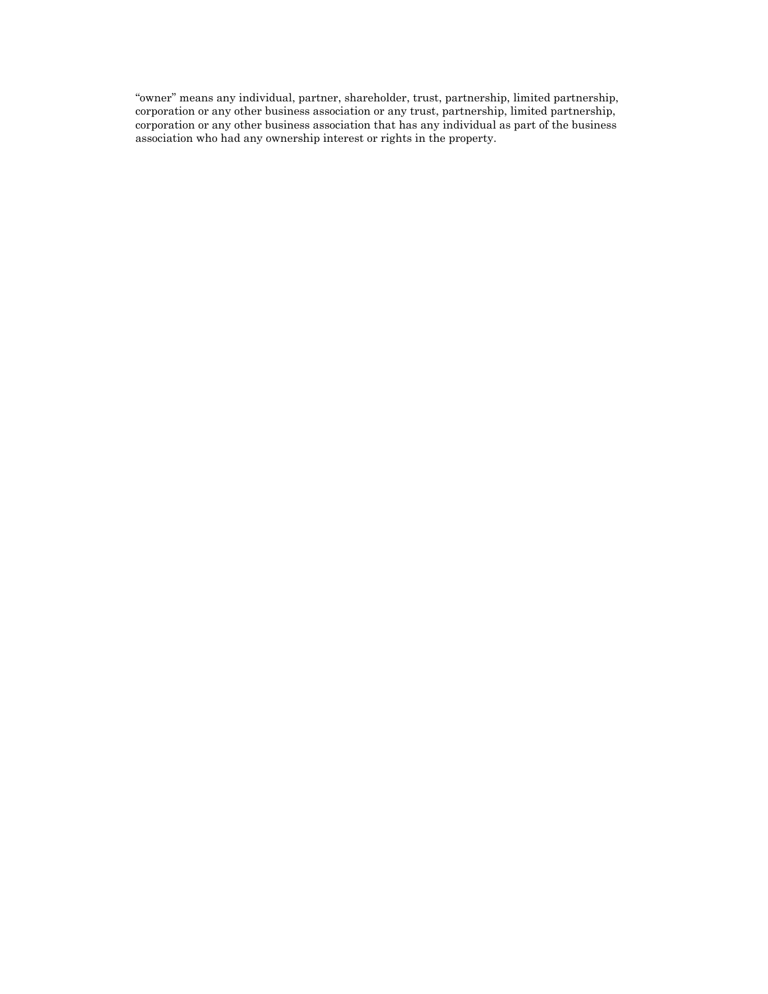"owner" means any individual, partner, shareholder, trust, partnership, limited partnership, corporation or any other business association or any trust, partnership, limited partnership, corporation or any other business association that has any individual as part of the business association who had any ownership interest or rights in the property.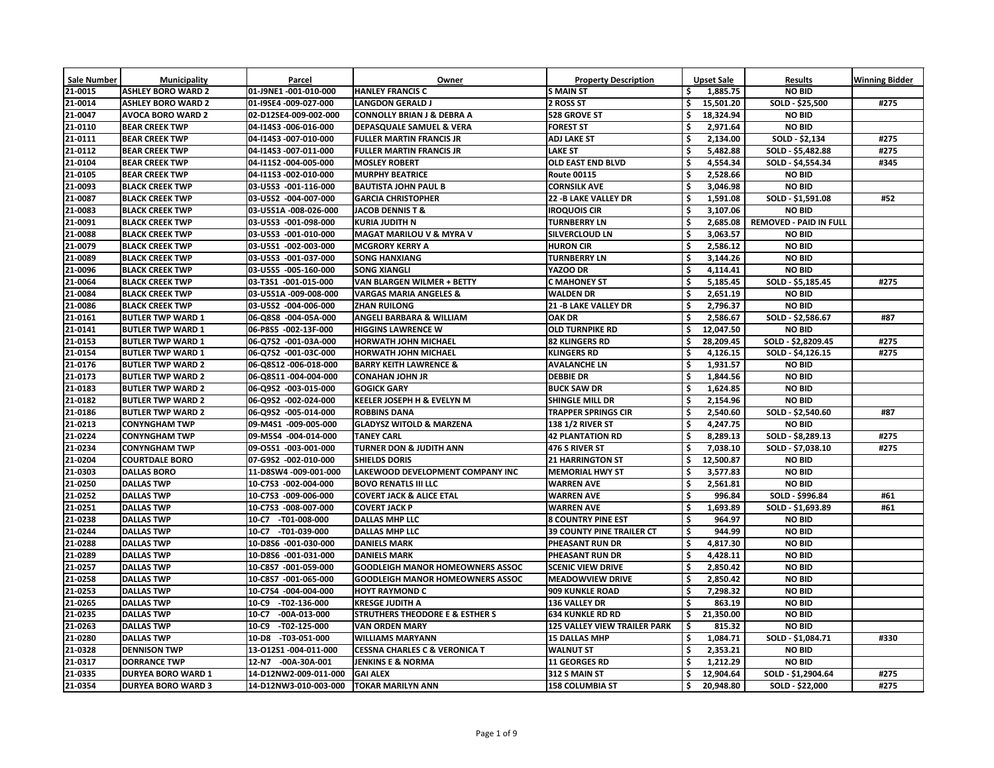| <b>Sale Number</b> | <b>Municipality</b>       | Parcel                                  | Owner                                      | <b>Property Description</b>         |                     | Upset Sale | <b>Results</b>                | <b>Winning Bidder</b> |
|--------------------|---------------------------|-----------------------------------------|--------------------------------------------|-------------------------------------|---------------------|------------|-------------------------------|-----------------------|
| 21-0015            | <b>ASHLEY BORO WARD 2</b> | 01-J9NE1 -001-010-000                   | <b>HANLEY FRANCIS C</b>                    | <b>S MAIN ST</b>                    |                     | 1,885.75   | <b>NO BID</b>                 |                       |
| 21-0014            | <b>ASHLEY BORO WARD 2</b> | 01-I9SE4 -009-027-000                   | <b>LANGDON GERALD J</b>                    | 2 ROSS ST                           |                     | 15,501.20  | SOLD - \$25,500               | #275                  |
| 21-0047            | <b>AVOCA BORO WARD 2</b>  | 02-D12SE4-009-002-000                   | <b>CONNOLLY BRIAN J &amp; DEBRA A</b>      | 528 GROVE ST                        |                     | 18,324.94  | <b>NO BID</b>                 |                       |
| 21-0110            | <b>BEAR CREEK TWP</b>     | 04-114S3 -006-016-000                   | <b>DEPASQUALE SAMUEL &amp; VERA</b>        | <b>FOREST ST</b>                    |                     | 2,971.64   | <b>NO BID</b>                 |                       |
| 21-0111            | <b>BEAR CREEK TWP</b>     | 04-I14S3 -007-010-000                   | <b>FULLER MARTIN FRANCIS JR</b>            | <b>ADJ LAKE ST</b>                  | \$                  | 2,134.00   | SOLD - \$2,134                | #275                  |
| 21-0112            | <b>BEAR CREEK TWP</b>     | 04-114S3 -007-011-000                   | <b>FULLER MARTIN FRANCIS JR</b>            | <b>LAKE ST</b>                      | $\ddot{\bm{\zeta}}$ | 5,482.88   | SOLD - \$5,482.88             | #275                  |
| 21-0104            | <b>BEAR CREEK TWP</b>     | 04-111S2 -004-005-000                   | <b>MOSLEY ROBERT</b>                       | <b>OLD EAST END BLVD</b>            |                     | 4,554.34   | SOLD - \$4,554.34             | #345                  |
| 21-0105            | <b>BEAR CREEK TWP</b>     | 04-111S3 -002-010-000                   | <b>MURPHY BEATRICE</b>                     | <b>Route 00115</b>                  | \$                  | 2,528.66   | <b>NO BID</b>                 |                       |
| 21-0093            | <b>BLACK CREEK TWP</b>    | 03-U5S3 -001-116-000                    | <b>BAUTISTA JOHN PAUL B</b>                | <b>CORNSILK AVE</b>                 | \$                  | 3,046.98   | <b>NO BID</b>                 |                       |
| 21-0087            | <b>BLACK CREEK TWP</b>    | 03-U5S2 -004-007-000                    | <b>GARCIA CHRISTOPHER</b>                  | <b>22 -B LAKE VALLEY DR</b>         | \$                  | 1,591.08   | SOLD - \$1,591.08             | #52                   |
| 21-0083            | <b>BLACK CREEK TWP</b>    | 03-U5S1A -008-026-000                   | JACOB DENNIS T &                           | <b>IROQUOIS CIR</b>                 | $\ddot{\bm{\zeta}}$ | 3,107.06   | <b>NO BID</b>                 |                       |
| 21-0091            | <b>BLACK CREEK TWP</b>    | 03-U5S3 -001-098-000                    | <b>KURIA JUDITH N</b>                      | <b>TURNBERRY LN</b>                 |                     | 2,685.08   | <b>REMOVED - PAID IN FULL</b> |                       |
| 21-0088            | <b>BLACK CREEK TWP</b>    | 03-U5S3 -001-010-000                    | <b>MAGAT MARILOU V &amp; MYRA V</b>        | <b>SILVERCLOUD LN</b>               | \$                  | 3,063.57   | <b>NO BID</b>                 |                       |
| 21-0079            | <b>BLACK CREEK TWP</b>    | 03-U5S1 -002-003-000                    | <b>MCGRORY KERRY A</b>                     | <b>HURON CIR</b>                    |                     | 2,586.12   | <b>NO BID</b>                 |                       |
| 21-0089            | <b>BLACK CREEK TWP</b>    | 03-U5S3 -001-037-000                    | <b>SONG HANXIANG</b>                       | <b>TURNBERRY LN</b>                 |                     | 3,144.26   | <b>NO BID</b>                 |                       |
| 21-0096            | <b>BLACK CREEK TWP</b>    | 03-U5S5 -005-160-000                    | <b>SONG XIANGLI</b>                        | YAZOO DR                            | $\ddot{\bm{\zeta}}$ | 4,114.41   | <b>NO BID</b>                 |                       |
| 21-0064            | <b>BLACK CREEK TWP</b>    | 03-T3S1 -001-015-000                    | <b>VAN BLARGEN WILMER + BETTY</b>          | <b>C MAHONEY ST</b>                 |                     | 5,185.45   | SOLD - \$5,185.45             | #275                  |
| 21-0084            | <b>BLACK CREEK TWP</b>    | 03-U5S1A -009-008-000                   | <b>VARGAS MARIA ANGELES &amp;</b>          | <b>WALDEN DR</b>                    | \$                  | 2,651.19   | <b>NO BID</b>                 |                       |
| 21-0086            | <b>BLACK CREEK TWP</b>    | 03-U5S2 -004-006-000                    | <b>ZHAN RUILONG</b>                        | <b>21 -B LAKE VALLEY DR</b>         | \$                  | 2,796.37   | <b>NO BID</b>                 |                       |
| 21-0161            | <b>BUTLER TWP WARD 1</b>  | 06-Q8S8 -004-05A-000                    | <b>ANGELI BARBARA &amp; WILLIAM</b>        | <b>OAK DR</b>                       |                     | 2,586.67   | SOLD - \$2,586.67             | #87                   |
| 21-0141            | <b>BUTLER TWP WARD 1</b>  | 06-P8S5 -002-13F-000                    | <b>HIGGINS LAWRENCE W</b>                  | <b>OLD TURNPIKE RD</b>              |                     | 12,047.50  | <b>NO BID</b>                 |                       |
| 21-0153            | <b>BUTLER TWP WARD 1</b>  | 06-Q7S2 -001-03A-000                    | <b>HORWATH JOHN MICHAEL</b>                | <b>82 KLINGERS RD</b>               |                     | 28,209.45  | SOLD - \$2,8209.45            | #275                  |
| 21-0154            | <b>BUTLER TWP WARD 1</b>  | 06-Q7S2 -001-03C-000                    | <b>HORWATH JOHN MICHAEL</b>                | <b>KLINGERS RD</b>                  | \$                  | 4,126.15   | SOLD - \$4,126.15             | #275                  |
| 21-0176            | <b>BUTLER TWP WARD 2</b>  | 06-Q8S12 -006-018-000                   | <b>BARRY KEITH LAWRENCE &amp;</b>          | <b>AVALANCHE LN</b>                 | $\ddot{\bm{\zeta}}$ | 1,931.57   | <b>NO BID</b>                 |                       |
| 21-0173            | <b>BUTLER TWP WARD 2</b>  | 06-Q8S11 -004-004-000                   | <b>CONAHAN JOHN JR</b>                     | <b>DEBBIE DR</b>                    |                     | 1,844.56   | <b>NO BID</b>                 |                       |
| 21-0183            | <b>BUTLER TWP WARD 2</b>  | 06-Q9S2 -003-015-000                    | <b>GOGICK GARY</b>                         | <b>BUCK SAW DR</b>                  | \$                  | 1,624.85   | <b>NO BID</b>                 |                       |
| 21-0182            | <b>BUTLER TWP WARD 2</b>  | 06-Q9S2 -002-024-000                    | <b>KEELER JOSEPH H &amp; EVELYN M</b>      | <b>SHINGLE MILL DR</b>              |                     | 2,154.96   | <b>NO BID</b>                 |                       |
| 21-0186            | <b>BUTLER TWP WARD 2</b>  | 06-Q9S2 -005-014-000                    | <b>ROBBINS DANA</b>                        | <b>TRAPPER SPRINGS CIR</b>          | \$                  | 2,540.60   | SOLD - \$2,540.60             | #87                   |
| 21-0213            | <b>CONYNGHAM TWP</b>      | 09-M4S1 -009-005-000                    | <b>GLADYSZ WITOLD &amp; MARZENA</b>        | <b>138 1/2 RIVER ST</b>             |                     | 4,247.75   | <b>NO BID</b>                 |                       |
| 21-0224            | <b>CONYNGHAM TWP</b>      | 09-M5S4 -004-014-000                    | <b>TANEY CARL</b>                          | <b>42 PLANTATION RD</b>             | \$                  | 8,289.13   | SOLD - \$8,289.13             | #275                  |
| 21-0234            | <b>CONYNGHAM TWP</b>      | 09-05S1 -003-001-000                    | <b>TURNER DON &amp; JUDITH ANN</b>         | 476 S RIVER ST                      |                     | 7,038.10   | SOLD - \$7,038.10             | #275                  |
| 21-0204            | <b>COURTDALE BORO</b>     | 07-G9S2 -002-010-000                    | <b>SHIELDS DORIS</b>                       | <b>21 HARRINGTON ST</b>             |                     | 12,500.87  | <b>NO BID</b>                 |                       |
| 21-0303            | <b>DALLAS BORO</b>        | 11-D8SW4 -009-001-000                   | LAKEWOOD DEVELOPMENT COMPANY INC           | <b>MEMORIAL HWY ST</b>              |                     | 3,577.83   | <b>NO BID</b>                 |                       |
| 21-0250            | <b>DALLAS TWP</b>         | 10-C7S3 -002-004-000                    | <b>BOVO RENATLS III LLC</b>                | <b>WARREN AVE</b>                   | \$                  | 2,561.81   | <b>NO BID</b>                 |                       |
| 21-0252            | <b>DALLAS TWP</b>         | 10-C7S3 -009-006-000                    | <b>COVERT JACK &amp; ALICE ETAL</b>        | <b>WARREN AVE</b>                   |                     | 996.84     | SOLD - \$996.84               | #61                   |
| 21-0251            | <b>DALLAS TWP</b>         | 10-C7S3 -008-007-000                    | <b>COVERT JACK P</b>                       | <b>WARREN AVE</b>                   | \$                  | 1,693.89   | SOLD - \$1,693.89             | #61                   |
| 21-0238            | <b>DALLAS TWP</b>         | 10-C7 -T01-008-000                      | <b>DALLAS MHP LLC</b>                      | <b>8 COUNTRY PINE EST</b>           |                     | 964.97     | <b>NO BID</b>                 |                       |
| 21-0244            | <b>DALLAS TWP</b>         | 10-C7 -T01-039-000                      | <b>DALLAS MHP LLC</b>                      | <b>39 COUNTY PINE TRAILER CT</b>    | \$                  | 944.99     | <b>NO BID</b>                 |                       |
| 21-0288            | <b>DALLAS TWP</b>         | 10-D8S6 -001-030-000                    | <b>DANIELS MARK</b>                        | PHEASANT RUN DR                     | \$                  | 4,817.30   | <b>NO BID</b>                 |                       |
| $ 21 - 0289 $      | <b>DALLAS TWP</b>         | 10-D8S6 -001-031-000                    | <b>DANIELS MARK</b>                        | PHEASANT RUN DR                     |                     | 4,428.11   | <b>NO BID</b>                 |                       |
| 21-0257            | <b>DALLAS TWP</b>         | 10-C8S7 -001-059-000                    | <b>GOODLEIGH MANOR HOMEOWNERS ASSOC</b>    | <b>SCENIC VIEW DRIVE</b>            |                     | 2,850.42   | <b>NO BID</b>                 |                       |
| 21-0258            | <b>DALLAS TWP</b>         | 10-C8S7 -001-065-000                    | <b>GOODLEIGH MANOR HOMEOWNERS ASSOC</b>    | <b>MEADOWVIEW DRIVE</b>             |                     | 2,850.42   | <b>NO BID</b>                 |                       |
| $ 21 - 0253 $      | <b>DALLAS TWP</b>         | 10-C7S4 -004-004-000                    | <b>HOYT RAYMOND C</b>                      | <b>909 KUNKLE ROAD</b>              | \$                  | 7,298.32   | <b>NO BID</b>                 |                       |
| 21-0265            | <b>DALLAS TWP</b>         | 10-C9 -T02-136-000                      | <b>KRESGE JUDITH A</b>                     | <b>136 VALLEY DR</b>                |                     | 863.19     | <b>NO BID</b>                 |                       |
| 21-0235            | <b>DALLAS TWP</b>         | 10-C7 -00A-013-000                      | <b>STRUTHERS THEODORE E &amp; ESTHER S</b> | <b>634 KUNKLE RD RD</b>             |                     | 21,350.00  | <b>NO BID</b>                 |                       |
| 21-0263            | <b>DALLAS TWP</b>         | 10-C9 -T02-125-000                      | <b>VAN ORDEN MARY</b>                      | <b>125 VALLEY VIEW TRAILER PARK</b> |                     | 815.32     | <b>NO BID</b>                 |                       |
| 21-0280            | <b>DALLAS TWP</b>         | 10-D8 -T03-051-000                      | <b>WILLIAMS MARYANN</b>                    | <b>15 DALLAS MHP</b>                |                     | 1,084.71   | SOLD - \$1,084.71             | #330                  |
| $ 21 - 0328 $      | <b>DENNISON TWP</b>       | 13-012S1 -004-011-000                   | <b>CESSNA CHARLES C &amp; VERONICA T</b>   | <b>WALNUT ST</b>                    |                     | 2,353.21   | <b>NO BID</b>                 |                       |
| 21-0317            | <b>DORRANCE TWP</b>       | 12-N7 -00A-30A-001                      | <b>JENKINS E &amp; NORMA</b>               | <b>11 GEORGES RD</b>                |                     | 1,212.29   | <b>NO BID</b>                 |                       |
| 21-0335            | <b>DURYEA BORO WARD 1</b> | 14-D12NW2-009-011-000                   | <b>GAI ALEX</b>                            | 312 S MAIN ST                       |                     | 12,904.64  | SOLD - \$1,2904.64            | #275                  |
| 21-0354            | <b>DURYEA BORO WARD 3</b> | 14-D12NW3-010-003-000 TOKAR MARILYN ANN |                                            | <b>158 COLUMBIA ST</b>              |                     | 20,948.80  | SOLD - \$22,000               | #275                  |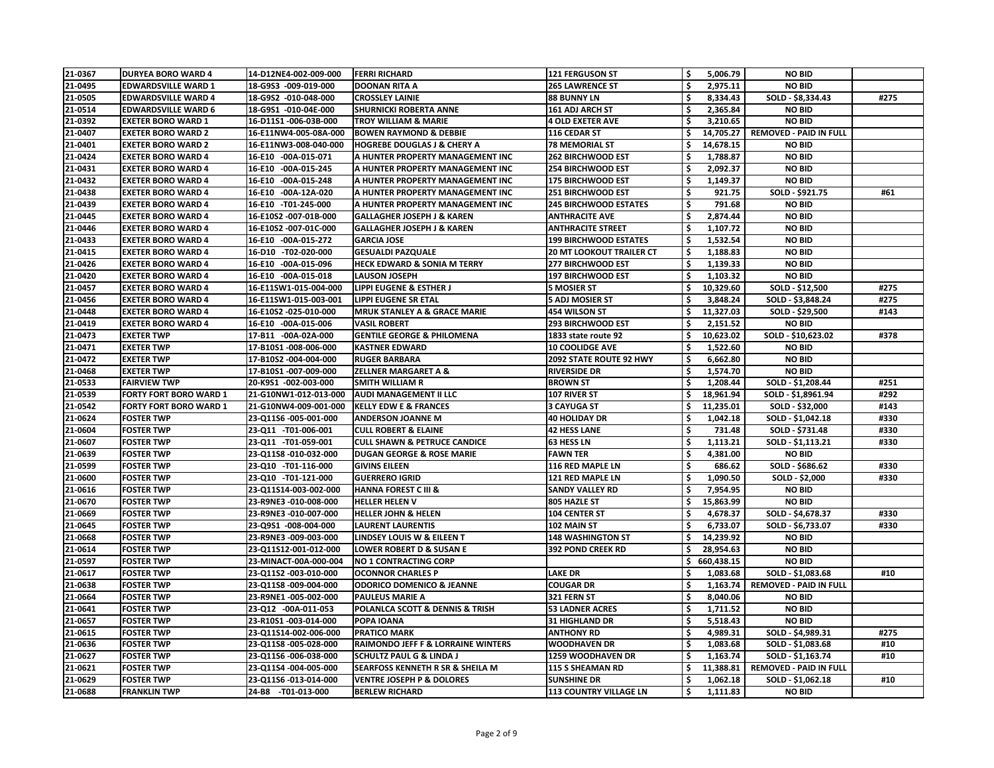| 21-0367       | <b>DURYEA BORO WARD 4</b>     | 14-D12NE4-002-009-000 | <b>FERRI RICHARD</b>                          | <b>121 FERGUSON ST</b>          | \$                  | 5,006.79   | <b>NO BID</b>                 |      |
|---------------|-------------------------------|-----------------------|-----------------------------------------------|---------------------------------|---------------------|------------|-------------------------------|------|
| 21-0495       | <b>EDWARDSVILLE WARD 1</b>    | 18-G9S3 -009-019-000  | <b>DOONAN RITA A</b>                          | <b>265 LAWRENCE ST</b>          |                     | 2,975.11   | <b>NO BID</b>                 |      |
| 21-0505       | <b>EDWARDSVILLE WARD 4</b>    | 18-G9S2 -010-048-000  | <b>CROSSLEY LAINIE</b>                        | <b>88 BUNNY LN</b>              |                     | 8,334.43   | SOLD - \$8,334.43             | #275 |
| 21-0514       | <b>EDWARDSVILLE WARD 6</b>    | 18-G9S1 -010-04E-000  | <b>SHURNICKI ROBERTA ANNE</b>                 | <b>161 ADJ ARCH ST</b>          | \$                  | 2,365.84   | <b>NO BID</b>                 |      |
| 21-0392       | <b>EXETER BORO WARD 1</b>     | 16-D11S1 -006-03B-000 | <b>TROY WILLIAM &amp; MARIE</b>               | <b>4 OLD EXETER AVE</b>         |                     | 3,210.65   | <b>NO BID</b>                 |      |
| 21-0407       | <b>EXETER BORO WARD 2</b>     | 16-E11NW4-005-08A-000 | <b>BOWEN RAYMOND &amp; DEBBIE</b>             | 116 CEDAR ST                    |                     | 14,705.27  | <b>REMOVED - PAID IN FULL</b> |      |
| 21-0401       | <b>EXETER BORO WARD 2</b>     | 16-E11NW3-008-040-000 | <b>HOGREBE DOUGLAS J &amp; CHERY A</b>        | <b>78 MEMORIAL ST</b>           |                     | 14,678.15  | <b>NO BID</b>                 |      |
| 21-0424       | <b>EXETER BORO WARD 4</b>     | 16-E10 -00A-015-071   | A HUNTER PROPERTY MANAGEMENT INC              | <b>262 BIRCHWOOD EST</b>        |                     | 1,788.87   | <b>NO BID</b>                 |      |
| 21-0431       | <b>EXETER BORO WARD 4</b>     | 16-E10 -00A-015-245   | A HUNTER PROPERTY MANAGEMENT INC              | <b>254 BIRCHWOOD EST</b>        | \$                  | 2,092.37   | <b>NO BID</b>                 |      |
| 21-0432       | <b>EXETER BORO WARD 4</b>     | 16-E10 -00A-015-248   | A HUNTER PROPERTY MANAGEMENT INC              | <b>175 BIRCHWOOD EST</b>        | \$                  | 1,149.37   | <b>NO BID</b>                 |      |
| 21-0438       | <b>EXETER BORO WARD 4</b>     | 16-E10 -00A-12A-020   | A HUNTER PROPERTY MANAGEMENT INC              | 251 BIRCHWOOD EST               | \$                  | 921.75     | SOLD - \$921.75               | #61  |
| 21-0439       | <b>EXETER BORO WARD 4</b>     | 16-E10 -T01-245-000   | A HUNTER PROPERTY MANAGEMENT INC              | <b>245 BIRCHWOOD ESTATES</b>    |                     | 791.68     | <b>NO BID</b>                 |      |
| 21-0445       | <b>EXETER BORO WARD 4</b>     | 16-E10S2 -007-01B-000 | <b>GALLAGHER JOSEPH J &amp; KAREN</b>         | <b>ANTHRACITE AVE</b>           |                     | 2,874.44   | <b>NO BID</b>                 |      |
| 21-0446       | <b>EXETER BORO WARD 4</b>     | 16-E10S2 -007-01C-000 | <b>GALLAGHER JOSEPH J &amp; KAREN</b>         | <b>ANTHRACITE STREET</b>        | $\ddot{\bm{\zeta}}$ | 1,107.72   | <b>NO BID</b>                 |      |
| 21-0433       | <b>EXETER BORO WARD 4</b>     | 16-E10 -00A-015-272   | <b>GARCIA JOSE</b>                            | <b>199 BIRCHWOOD ESTATES</b>    |                     | 1,532.54   | <b>NO BID</b>                 |      |
| 21-0415       | <b>EXETER BORO WARD 4</b>     | 16-D10 -T02-020-000   | <b>GESUALDI PAZQUALE</b>                      | <b>20 MT LOOKOUT TRAILER CT</b> |                     | 1,188.83   | <b>NO BID</b>                 |      |
| 21-0426       | <b>EXETER BORO WARD 4</b>     | 16-E10 -00A-015-096   | <b>HECK EDWARD &amp; SONIA M TERRY</b>        | <b>277 BIRCHWOOD EST</b>        | $\ddot{\bm{\zeta}}$ | 1,139.33   | <b>NO BID</b>                 |      |
| 21-0420       | <b>EXETER BORO WARD 4</b>     | 16-E10 -00A-015-018   | <b>LAUSON JOSEPH</b>                          | <b>197 BIRCHWOOD EST</b>        |                     | 1,103.32   | <b>NO BID</b>                 |      |
| 21-0457       | <b>EXETER BORO WARD 4</b>     | 16-E11SW1-015-004-000 | <b>LIPPI EUGENE &amp; ESTHER J</b>            | <b>5 MOSIER ST</b>              |                     | 10,329.60  | SOLD - \$12,500               | #275 |
| 21-0456       | <b>EXETER BORO WARD 4</b>     | 16-E11SW1-015-003-001 | <b>LIPPI EUGENE SR ETAL</b>                   | <b>5 ADJ MOSIER ST</b>          |                     | 3,848.24   | SOLD - \$3,848.24             | #275 |
| 21-0448       | <b>EXETER BORO WARD 4</b>     | 16-E10S2 -025-010-000 | <b>MRUK STANLEY A &amp; GRACE MARIE</b>       | 454 WILSON ST                   |                     | 11,327.03  | SOLD - \$29,500               | #143 |
| 21-0419       | <b>EXETER BORO WARD 4</b>     | 16-E10 -00A-015-006   | <b>VASIL ROBERT</b>                           | <b>293 BIRCHWOOD EST</b>        |                     | 2,151.52   | <b>NO BID</b>                 |      |
| 21-0473       | <b>EXETER TWP</b>             | 17-B11 -00A-02A-000   | <b>GENTILE GEORGE &amp; PHILOMENA</b>         | 1833 state route 92             |                     | 10,623.02  | SOLD - \$10,623.02            | #378 |
| 21-0471       | <b>EXETER TWP</b>             | 17-B10S1-008-006-000  | <b>KASTNER EDWARD</b>                         | <b>10 COOLIDGE AVE</b>          | \$                  | 1,522.60   | <b>NO BID</b>                 |      |
| 21-0472       | <b>EXETER TWP</b>             | 17-B10S2 -004-004-000 | <b>RUGER BARBARA</b>                          | 2092 STATE ROUTE 92 HWY         | \$                  | 6,662.80   | <b>NO BID</b>                 |      |
| 21-0468       | <b>EXETER TWP</b>             | 17-B10S1-007-009-000  | <b>ZELLNER MARGARET A &amp;</b>               | <b>RIVERSIDE DR</b>             |                     | 1,574.70   | <b>NO BID</b>                 |      |
| 21-0533       | <b>FAIRVIEW TWP</b>           | 20-K9S1 -002-003-000  | <b>SMITH WILLIAM R</b>                        | <b>BROWN ST</b>                 |                     | 1,208.44   | SOLD - \$1,208.44             | #251 |
| 21-0539       | <b>FORTY FORT BORO WARD 1</b> | 21-G10NW1-012-013-000 | <b>AUDI MANAGEMENT II LLC</b>                 | 107 RIVER ST                    |                     | 18,961.94  | SOLD - \$1,8961.94            | #292 |
| 21-0542       | <b>FORTY FORT BORO WARD 1</b> | 21-G10NW4-009-001-000 | <b>KELLY EDW E &amp; FRANCES</b>              | <b>3 CAYUGA ST</b>              |                     | 11,235.01  | SOLD - \$32,000               | #143 |
| 21-0624       | <b>FOSTER TWP</b>             | 23-Q11S6 -005-001-000 | <b>ANDERSON JOANNE M</b>                      | <b>40 HOLIDAY DR</b>            |                     | 1,042.18   | SOLD - \$1,042.18             | #330 |
| 21-0604       | <b>FOSTER TWP</b>             | 23-Q11 -T01-006-001   | <b>CULL ROBERT &amp; ELAINE</b>               | <b>42 HESS LANE</b>             | \$                  | 731.48     | SOLD - \$731.48               | #330 |
| 21-0607       | <b>FOSTER TWP</b>             | 23-Q11 -T01-059-001   | <b>CULL SHAWN &amp; PETRUCE CANDICE</b>       | 63 HESS LN                      |                     | 1,113.21   | SOLD - \$1,113.21             | #330 |
| 21-0639       | <b>FOSTER TWP</b>             | 23-Q11S8 -010-032-000 | <b>DUGAN GEORGE &amp; ROSE MARIE</b>          | <b>FAWN TER</b>                 |                     | 4,381.00   | <b>NO BID</b>                 |      |
| 21-0599       | <b>FOSTER TWP</b>             | 23-Q10 -T01-116-000   | <b>GIVINS EILEEN</b>                          | 116 RED MAPLE LN                | \$                  | 686.62     | SOLD - \$686.62               | #330 |
| 21-0600       | <b>FOSTER TWP</b>             | 23-Q10 -T01-121-000   | <b>GUERRERO IGRID</b>                         | 121 RED MAPLE LN                | \$                  | 1,090.50   | SOLD - \$2,000                | #330 |
| 21-0616       | <b>FOSTER TWP</b>             | 23-Q11S14-003-002-000 | <b>HANNA FOREST C III &amp;</b>               | <b>SANDY VALLEY RD</b>          | \$                  | 7,954.95   | <b>NO BID</b>                 |      |
| 21-0670       | <b>FOSTER TWP</b>             | 23-R9NE3 -010-008-000 | <b>HELLER HELEN V</b>                         | 805 HAZLE ST                    | \$                  | 15,863.99  | <b>NO BID</b>                 |      |
| 21-0669       | <b>FOSTER TWP</b>             | 23-R9NE3 -010-007-000 | <b>HELLER JOHN &amp; HELEN</b>                | <b>104 CENTER ST</b>            | \$                  | 4,678.37   | SOLD - \$4,678.37             | #330 |
| 21-0645       | <b>FOSTER TWP</b>             |                       | <b>LAURENT LAURENTIS</b>                      | 102 MAIN ST                     | \$                  |            |                               | #330 |
|               |                               | 23-Q9S1 -008-004-000  |                                               |                                 |                     | 6,733.07   | SOLD - \$6,733.07             |      |
| 21-0668       | <b>FOSTER TWP</b>             | 23-R9NE3 -009-003-000 | LINDSEY LOUIS W & EILEEN T                    | <b>148 WASHINGTON ST</b>        |                     | 14,239.92  | <b>NO BID</b>                 |      |
| 21-0614       | <b>FOSTER TWP</b>             | 23-Q11S12-001-012-000 | <b>LOWER ROBERT D &amp; SUSAN E</b>           | <b>392 POND CREEK RD</b>        |                     | 28,954.63  | <b>NO BID</b>                 |      |
| 21-0597       | <b>FOSTER TWP</b>             | 23-MINACT-00A-000-004 | <b>NO 1 CONTRACTING CORP</b>                  |                                 | \$                  | 660,438.15 | <b>NO BID</b>                 |      |
| 21-0617       | <b>FOSTER TWP</b>             | 23-Q11S2 -003-010-000 | <b>OCONNOR CHARLES P</b>                      | <b>LAKE DR</b>                  |                     | 1,083.68   | SOLD - \$1,083.68             | #10  |
| 21-0638       | <b>FOSTER TWP</b>             | 23-Q11S8 -009-004-000 | <b>ODORICO DOMENICO &amp; JEANNE</b>          | <b>COUGAR DR</b>                |                     | 1,163.74   | <b>REMOVED - PAID IN FULL</b> |      |
| 21-0664       | <b>FOSTER TWP</b>             | 23-R9NE1-005-002-000  | <b>PAULEUS MARIE A</b>                        | 321 FERN ST                     | \$                  | 8,040.06   | <b>NO BID</b>                 |      |
| 21-0641       | <b>FOSTER TWP</b>             | 23-Q12 -00A-011-053   | POLANLCA SCOTT & DENNIS & TRISH               | <b>53 LADNER ACRES</b>          |                     | 1,711.52   | <b>NO BID</b>                 |      |
| 21-0657       | <b>FOSTER TWP</b>             | 23-R10S1-003-014-000  | POPA IOANA                                    | <b>31 HIGHLAND DR</b>           | \$                  | 5,518.43   | <b>NO BID</b>                 |      |
| 21-0615       | <b>FOSTER TWP</b>             | 23-Q11S14-002-006-000 | <b>PRATICO MARK</b>                           | <b>ANTHONY RD</b>               | \$                  | 4,989.31   | SOLD - \$4,989.31             | #275 |
| 21-0636       | <b>FOSTER TWP</b>             | 23-Q11S8 -005-028-000 | <b>RAIMONDO JEFF F &amp; LORRAINE WINTERS</b> | <b>WOODHAVEN DR</b>             | \$                  | 1,083.68   | SOLD - \$1,083.68             | #10  |
| 21-0627       | <b>FOSTER TWP</b>             | 23-Q11S6 -006-038-000 | <b>SCHULTZ PAUL G &amp; LINDA J</b>           | <b>1259 WOODHAVEN DR</b>        | \$                  | 1,163.74   | SOLD - \$1,163.74             | #10  |
| $ 21 - 0621 $ | <b>FOSTER TWP</b>             | 23-Q11S4 -004-005-000 | <b>SEARFOSS KENNETH R SR &amp; SHEILA M</b>   | <b>115 S SHEAMAN RD</b>         |                     | 11,388.81  | <b>REMOVED - PAID IN FULL</b> |      |
| 21-0629       | <b>FOSTER TWP</b>             | 23-Q11S6 -013-014-000 | <b>VENTRE JOSEPH P &amp; DOLORES</b>          | <b>SUNSHINE DR</b>              | \$                  | 1,062.18   | SOLD - \$1,062.18             | #10  |
| 21-0688       | <b>FRANKLIN TWP</b>           | 24-B8 -T01-013-000    | <b>BERLEW RICHARD</b>                         | <b>113 COUNTRY VILLAGE LN</b>   | \$                  | 1,111.83   | <b>NO BID</b>                 |      |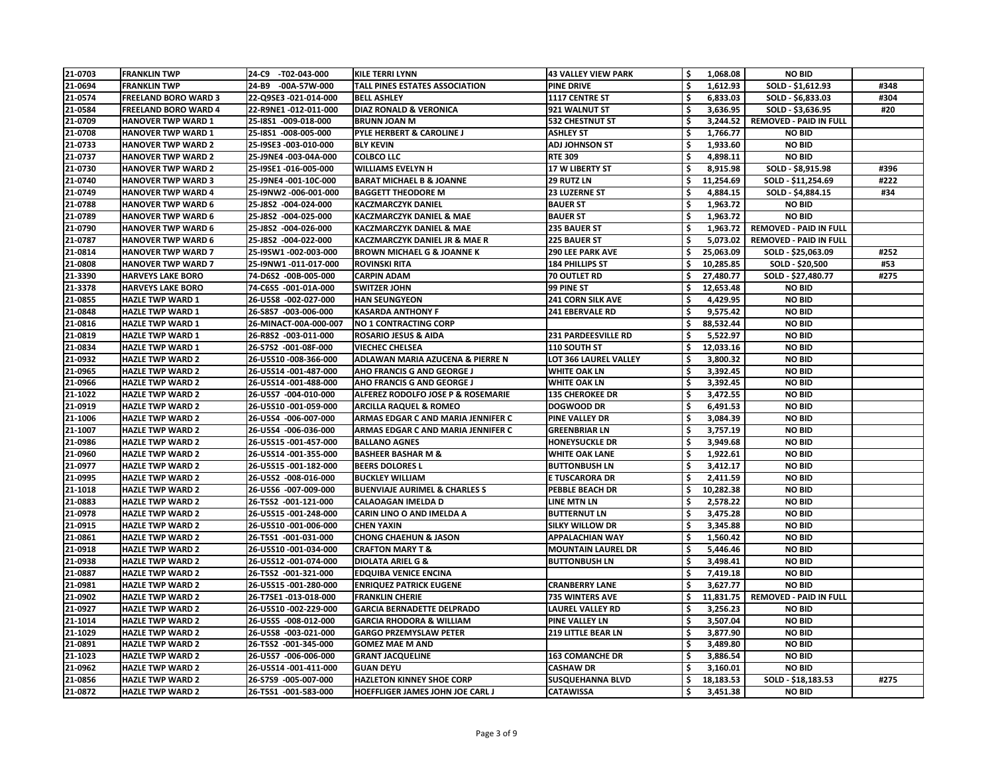| 21-0703 | <b>FRANKLIN TWP</b>         | -T02-043-000<br>24-C9 | <b>KILE TERRI LYNN</b>                        | <b>43 VALLEY VIEW PARK</b> | \$                  | 1,068.08  | <b>NO BID</b>                 |      |
|---------|-----------------------------|-----------------------|-----------------------------------------------|----------------------------|---------------------|-----------|-------------------------------|------|
| 21-0694 | <b>FRANKLIN TWP</b>         | 24-B9 -00A-57W-000    | <b>TALL PINES ESTATES ASSOCIATION</b>         | <b>PINE DRIVE</b>          |                     | 1,612.93  | SOLD - \$1,612.93             | #348 |
| 21-0574 | <b>FREELAND BORO WARD 3</b> | 22-Q9SE3 -021-014-000 | <b>BELL ASHLEY</b>                            | 1117 CENTRE ST             | \$                  | 6,833.03  | SOLD - \$6,833.03             | #304 |
| 21-0584 | <b>FREELAND BORO WARD 4</b> | 22-R9NE1-012-011-000  | <b>DIAZ RONALD &amp; VERONICA</b>             | 921 WALNUT ST              | \$                  | 3,636.95  | SOLD - \$3,636.95             | #20  |
| 21-0709 | <b>HANOVER TWP WARD 1</b>   | 25-18S1 -009-018-000  | <b>BRUNN JOAN M</b>                           | <b>532 CHESTNUT ST</b>     |                     | 3,244.52  | <b>REMOVED - PAID IN FULL</b> |      |
| 21-0708 | <b>HANOVER TWP WARD 1</b>   | 25-I8S1 -008-005-000  | <b>PYLE HERBERT &amp; CAROLINE J</b>          | <b>ASHLEY ST</b>           | \$                  | 1,766.77  | <b>NO BID</b>                 |      |
| 21-0733 | <b>HANOVER TWP WARD 2</b>   | 25-I9SE3 -003-010-000 | <b>BLY KEVIN</b>                              | <b>ADJ JOHNSON ST</b>      | \$                  | 1,933.60  | <b>NO BID</b>                 |      |
| 21-0737 | <b>HANOVER TWP WARD 2</b>   | 25-J9NE4 -003-04A-000 | <b>COLBCO LLC</b>                             | <b>RTE 309</b>             | \$                  | 4,898.11  | <b>NO BID</b>                 |      |
| 21-0730 | <b>HANOVER TWP WARD 2</b>   | 25-19SE1 -016-005-000 | <b>WILLIAMS EVELYN H</b>                      | <b>17 W LIBERTY ST</b>     | \$                  | 8,915.98  | SOLD - \$8,915.98             | #396 |
| 21-0740 | <b>HANOVER TWP WARD 3</b>   | 25-J9NE4 -001-10C-000 | <b>BARAT MICHAEL B &amp; JOANNE</b>           | 29 RUTZ LN                 |                     | 11,254.69 | SOLD - \$11,254.69            | #222 |
| 21-0749 | <b>HANOVER TWP WARD 4</b>   | 25-I9NW2 -006-001-000 | <b>BAGGETT THEODORE M</b>                     | <b>23 LUZERNE ST</b>       | \$                  | 4,884.15  | SOLD - \$4,884.15             | #34  |
| 21-0788 | <b>HANOVER TWP WARD 6</b>   | 25-J8S2 -004-024-000  | <b>KACZMARCZYK DANIEL</b>                     | <b>BAUER ST</b>            |                     | 1,963.72  | <b>NO BID</b>                 |      |
| 21-0789 | <b>HANOVER TWP WARD 6</b>   | 25-J8S2 -004-025-000  | <b>KACZMARCZYK DANIEL &amp; MAE</b>           | <b>BAUER ST</b>            |                     | 1,963.72  | <b>NO BID</b>                 |      |
| 21-0790 | <b>HANOVER TWP WARD 6</b>   | 25-J8S2 -004-026-000  | <b>KACZMARCZYK DANIEL &amp; MAE</b>           | 235 BAUER ST               | $\ddot{\bm{\zeta}}$ | 1,963.72  | <b>REMOVED - PAID IN FULL</b> |      |
| 21-0787 | <b>HANOVER TWP WARD 6</b>   | 25-J8S2 -004-022-000  | <b>KACZMARCZYK DANIEL JR &amp; MAE R</b>      | <b>225 BAUER ST</b>        | \$                  | 5,073.02  | <b>REMOVED - PAID IN FULL</b> |      |
| 21-0814 | <b>HANOVER TWP WARD 7</b>   | 25-I9SW1-002-003-000  | <b>BROWN MICHAEL G &amp; JOANNE K</b>         | <b>290 LEE PARK AVE</b>    | \$                  | 25,063.09 | SOLD - \$25,063.09            | #252 |
| 21-0808 | <b>HANOVER TWP WARD 7</b>   | 25-I9NW1 -011-017-000 | <b>ROVINSKI RITA</b>                          | <b>184 PHILLIPS ST</b>     |                     | 10,285.85 | SOLD - \$20,500               | #53  |
| 21-3390 | <b>HARVEYS LAKE BORO</b>    | 74-D6S2 -00B-005-000  | <b>CARPIN ADAM</b>                            | <b>70 OUTLET RD</b>        |                     | 27,480.77 | SOLD - \$27,480.77            | #275 |
| 21-3378 | <b>HARVEYS LAKE BORO</b>    | 74-C6S5 -001-01A-000  | <b>SWITZER JOHN</b>                           | 99 PINE ST                 |                     | 12,653.48 | <b>NO BID</b>                 |      |
| 21-0855 | <b>HAZLE TWP WARD 1</b>     | 26-U5S8 -002-027-000  | <b>HAN SEUNGYEON</b>                          | <b>241 CORN SILK AVE</b>   | \$                  | 4,429.95  | <b>NO BID</b>                 |      |
| 21-0848 | <b>HAZLE TWP WARD 1</b>     | 26-S8S7 -003-006-000  | <b>KASARDA ANTHONY F</b>                      | <b>241 EBERVALE RD</b>     |                     | 9,575.42  | <b>NO BID</b>                 |      |
| 21-0816 | <b>HAZLE TWP WARD 1</b>     | 26-MINACT-00A-000-007 | <b>NO 1 CONTRACTING CORP</b>                  |                            |                     | 88,532.44 | <b>NO BID</b>                 |      |
| 21-0819 | <b>HAZLE TWP WARD 1</b>     | 26-R8S2 -003-011-000  | <b>ROSARIO JESUS &amp; AIDA</b>               | <b>231 PARDEESVILLE RD</b> |                     | 5,522.97  | <b>NO BID</b>                 |      |
| 21-0834 | <b>HAZLE TWP WARD 1</b>     | 26-S7S2 -001-08F-000  | <b>VIECHEC CHELSEA</b>                        | 110 SOUTH ST               |                     | 12,033.16 | <b>NO BID</b>                 |      |
| 21-0932 | <b>HAZLE TWP WARD 2</b>     | 26-U5S10 -008-366-000 | <b>ADLAWAN MARIA AZUCENA &amp; PIERRE N</b>   | LOT 366 LAUREL VALLEY      | \$                  | 3,800.32  | <b>NO BID</b>                 |      |
| 21-0965 | <b>HAZLE TWP WARD 2</b>     | 26-U5S14 -001-487-000 | <b>AHO FRANCIS G AND GEORGE J</b>             | <b>WHITE OAK LN</b>        |                     |           | <b>NO BID</b>                 |      |
|         |                             |                       |                                               |                            |                     | 3,392.45  |                               |      |
| 21-0966 | <b>HAZLE TWP WARD 2</b>     | 26-U5S14 -001-488-000 | <b>AHO FRANCIS G AND GEORGE J</b>             | <b>WHITE OAK LN</b>        | \$                  | 3,392.45  | <b>NO BID</b>                 |      |
| 21-1022 | <b>HAZLE TWP WARD 2</b>     | 26-U5S7 -004-010-000  | <b>ALFEREZ RODOLFO JOSE P &amp; ROSEMARIE</b> | <b>135 CHEROKEE DR</b>     |                     | 3,472.55  | <b>NO BID</b>                 |      |
| 21-0919 | <b>HAZLE TWP WARD 2</b>     | 26-U5S10 -001-059-000 | <b>ARCILLA RAQUEL &amp; ROMEO</b>             | <b>DOGWOOD DR</b>          | \$                  | 6,491.53  | <b>NO BID</b>                 |      |
| 21-1006 | <b>HAZLE TWP WARD 2</b>     | 26-U5S4 -006-007-000  | <b>ARMAS EDGAR C AND MARIA JENNIFER C</b>     | <b>PINE VALLEY DR</b>      | \$                  | 3,084.39  | <b>NO BID</b>                 |      |
| 21-1007 | <b>HAZLE TWP WARD 2</b>     | 26-U5S4 -006-036-000  | ARMAS EDGAR C AND MARIA JENNIFER C            | <b>GREENBRIAR LN</b>       | \$                  | 3,757.19  | <b>NO BID</b>                 |      |
| 21-0986 | <b>HAZLE TWP WARD 2</b>     | 26-U5S15 -001-457-000 | <b>BALLANO AGNES</b>                          | <b>HONEYSUCKLE DR</b>      |                     | 3,949.68  | <b>NO BID</b>                 |      |
| 21-0960 | <b>HAZLE TWP WARD 2</b>     | 26-U5S14 -001-355-000 | <b>BASHEER BASHAR M &amp;</b>                 | <b>WHITE OAK LANE</b>      |                     | 1,922.61  | <b>NO BID</b>                 |      |
| 21-0977 | <b>HAZLE TWP WARD 2</b>     | 26-U5S15 -001-182-000 | <b>BEERS DOLORES L</b>                        | <b>BUTTONBUSH LN</b>       | \$                  | 3,412.17  | <b>NO BID</b>                 |      |
| 21-0995 | <b>HAZLE TWP WARD 2</b>     | 26-U5S2 -008-016-000  | <b>BUCKLEY WILLIAM</b>                        | <b>E TUSCARORA DR</b>      | \$                  | 2,411.59  | <b>NO BID</b>                 |      |
| 21-1018 | <b>HAZLE TWP WARD 2</b>     | 26-U5S6 -007-009-000  | <b>BUENVIAJE AURIMEL &amp; CHARLES S</b>      | <b>PEBBLE BEACH DR</b>     | \$                  | 10,282.38 | <b>NO BID</b>                 |      |
| 21-0883 | <b>HAZLE TWP WARD 2</b>     | 26-T5S2 -001-121-000  | <b>CALAOAGAN IMELDA D</b>                     | <b>LINE MTN LN</b>         | \$                  | 2,578.22  | <b>NO BID</b>                 |      |
| 21-0978 | <b>HAZLE TWP WARD 2</b>     | 26-U5S15 -001-248-000 | <b>CARIN LINO O AND IMELDA A</b>              | <b>BUTTERNUT LN</b>        |                     | 3,475.28  | <b>NO BID</b>                 |      |
| 21-0915 | <b>HAZLE TWP WARD 2</b>     | 26-U5S10 -001-006-000 | <b>CHEN YAXIN</b>                             | <b>SILKY WILLOW DR</b>     | \$                  | 3,345.88  | <b>NO BID</b>                 |      |
| 21-0861 | <b>HAZLE TWP WARD 2</b>     | 26-T5S1 -001-031-000  | <b>CHONG CHAEHUN &amp; JASON</b>              | <b>APPALACHIAN WAY</b>     | \$                  | 1,560.42  | <b>NO BID</b>                 |      |
| 21-0918 | <b>HAZLE TWP WARD 2</b>     | 26-U5S10 -001-034-000 | <b>CRAFTON MARY T &amp;</b>                   | <b>MOUNTAIN LAUREL DR</b>  | \$                  | 5,446.46  | <b>NO BID</b>                 |      |
| 21-0938 | <b>HAZLE TWP WARD 2</b>     | 26-U5S12 -001-074-000 | <b>DIOLATA ARIEL G &amp;</b>                  | <b>BUTTONBUSH LN</b>       | \$                  | 3,498.41  | <b>NO BID</b>                 |      |
| 21-0887 | <b>HAZLE TWP WARD 2</b>     | 26-T5S2 -001-321-000  | <b>EDQUIBA VENICE ENCINA</b>                  |                            | \$                  | 7,419.18  | <b>NO BID</b>                 |      |
| 21-0981 | <b>HAZLE TWP WARD 2</b>     | 26-U5S15 -001-280-000 | <b>ENRIQUEZ PATRICK EUGENE</b>                | <b>CRANBERRY LANE</b>      | \$                  | 3,627.77  | <b>NO BID</b>                 |      |
| 21-0902 | <b>HAZLE TWP WARD 2</b>     | 26-T7SE1-013-018-000  | <b>FRANKLIN CHERIE</b>                        | <b>735 WINTERS AVE</b>     | \$                  | 11,831.75 | <b>REMOVED - PAID IN FULL</b> |      |
| 21-0927 | <b>HAZLE TWP WARD 2</b>     | 26-U5S10 -002-229-000 | <b>GARCIA BERNADETTE DELPRADO</b>             | <b>LAUREL VALLEY RD</b>    | \$                  | 3,256.23  | <b>NO BID</b>                 |      |
| 21-1014 | <b>HAZLE TWP WARD 2</b>     | 26-U5S5 -008-012-000  | <b>GARCIA RHODORA &amp; WILLIAM</b>           | <b>PINE VALLEY LN</b>      | \$                  | 3,507.04  | <b>NO BID</b>                 |      |
| 21-1029 | <b>HAZLE TWP WARD 2</b>     | 26-U5S8 -003-021-000  | <b>GARGO PRZEMYSLAW PETER</b>                 | <b>219 LITTLE BEAR LN</b>  | \$                  | 3,877.90  | <b>NO BID</b>                 |      |
| 21-0891 | <b>HAZLE TWP WARD 2</b>     | 26-T5S2 -001-345-000  | <b>GOMEZ MAE M AND</b>                        |                            | \$                  | 3,489.80  | <b>NO BID</b>                 |      |
| 21-1023 | <b>HAZLE TWP WARD 2</b>     | 26-U5S7 -006-006-000  | <b>GRANT JACQUELINE</b>                       | <b>163 COMANCHE DR</b>     | \$                  | 3,886.54  | <b>NO BID</b>                 |      |
| 21-0962 | <b>HAZLE TWP WARD 2</b>     | 26-U5S14 -001-411-000 | <b>GUAN DEYU</b>                              | <b>CASHAW DR</b>           | \$                  | 3,160.01  | <b>NO BID</b>                 |      |
| 21-0856 | <b>HAZLE TWP WARD 2</b>     | 26-S7S9 -005-007-000  | <b>HAZLETON KINNEY SHOE CORP</b>              | <b>SUSQUEHANNA BLVD</b>    | \$                  | 18,183.53 | SOLD - \$18,183.53            | #275 |
| 21-0872 | <b>HAZLE TWP WARD 2</b>     | 26-T5S1 -001-583-000  | <b>HOEFFLIGER JAMES JOHN JOE CARL J</b>       | <b>CATAWISSA</b>           | \$                  | 3,451.38  | <b>NO BID</b>                 |      |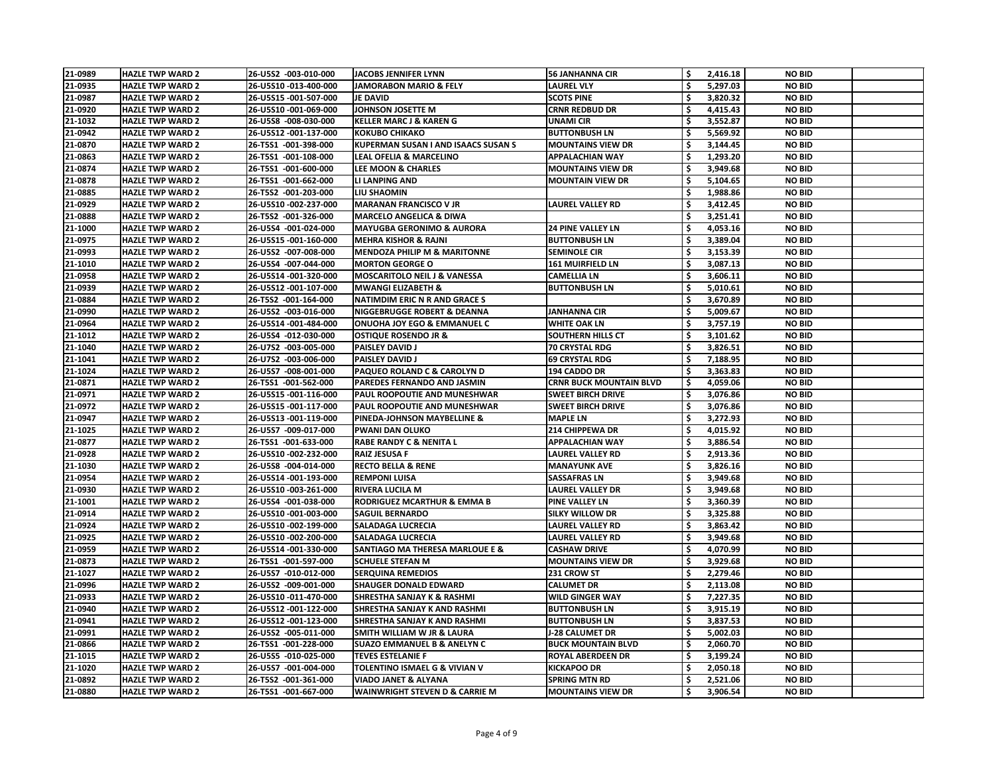| 21-0989            | <b>HAZLE TWP WARD 2</b>                            | 26-U5S2 -003-010-000                           | <b>JACOBS JENNIFER LYNN</b>                                           | <b>56 JANHANNA CIR</b>                               | 2,416.18                              | <b>NO BID</b>                  |  |
|--------------------|----------------------------------------------------|------------------------------------------------|-----------------------------------------------------------------------|------------------------------------------------------|---------------------------------------|--------------------------------|--|
| 21-0935            | <b>HAZLE TWP WARD 2</b>                            | 26-U5S10 -013-400-000                          | <b>JAMORABON MARIO &amp; FELY</b>                                     | <b>LAUREL VLY</b>                                    | \$<br>5,297.03                        | <b>NO BID</b>                  |  |
| 21-0987            | <b>HAZLE TWP WARD 2</b>                            | 26-U5S15 -001-507-000                          | <b>JE DAVID</b>                                                       | <b>SCOTS PINE</b>                                    | 3,820.32                              | <b>NO BID</b>                  |  |
| 21-0920            | <b>HAZLE TWP WARD 2</b>                            | 26-U5S10 -001-069-000                          | <b>JOHNSON JOSETTE M</b>                                              | <b>CRNR REDBUD DR</b>                                | \$<br>4,415.43                        | <b>NO BID</b>                  |  |
| 21-1032            | <b>HAZLE TWP WARD 2</b>                            | 26-U5S8 -008-030-000                           | <b>KELLER MARC J &amp; KAREN G</b>                                    | <b>UNAMI CIR</b>                                     | 3,552.87                              | <b>NO BID</b>                  |  |
| 21-0942            | <b>HAZLE TWP WARD 2</b>                            | 26-U5S12 -001-137-000                          | <b>KOKUBO CHIKAKO</b>                                                 | <b>BUTTONBUSH LN</b>                                 | 5,569.92                              | <b>NO BID</b>                  |  |
| 21-0870            | <b>HAZLE TWP WARD 2</b>                            | 26-T5S1 -001-398-000                           | <b>KUPERMAN SUSAN I AND ISAACS SUSAN S</b>                            | <b>MOUNTAINS VIEW DR</b>                             | $\ddot{\bm{\zeta}}$<br>3,144.45       | <b>NO BID</b>                  |  |
| 21-0863            | <b>HAZLE TWP WARD 2</b>                            | 26-T5S1 -001-108-000                           | <b>LEAL OFELIA &amp; MARCELINO</b>                                    | <b>APPALACHIAN WAY</b>                               | 1,293.20                              | <b>NO BID</b>                  |  |
| 21-0874            | <b>HAZLE TWP WARD 2</b>                            | 26-T5S1 -001-600-000                           | <b>LEE MOON &amp; CHARLES</b>                                         | <b>MOUNTAINS VIEW DR</b>                             | \$<br>3,949.68                        | <b>NO BID</b>                  |  |
| 21-0878            | <b>HAZLE TWP WARD 2</b>                            | 26-T5S1 -001-662-000                           | LI LANPING AND                                                        | <b>MOUNTAIN VIEW DR</b>                              | \$<br>5,104.65                        | <b>NO BID</b>                  |  |
| 21-0885            | <b>HAZLE TWP WARD 2</b>                            | 26-T5S2 -001-203-000                           | LIU SHAOMIN                                                           |                                                      | \$<br>1,988.86                        | <b>NO BID</b>                  |  |
| 21-0929            | <b>HAZLE TWP WARD 2</b>                            | 26-U5S10 -002-237-000                          | <b>MARANAN FRANCISCO V JR</b>                                         | LAUREL VALLEY RD                                     | \$<br>3,412.45                        | <b>NO BID</b>                  |  |
| 21-0888            | <b>HAZLE TWP WARD 2</b>                            | 26-T5S2 -001-326-000                           | <b>MARCELO ANGELICA &amp; DIWA</b>                                    |                                                      | \$<br>3,251.41                        | <b>NO BID</b>                  |  |
| 21-1000            | <b>HAZLE TWP WARD 2</b>                            | 26-U5S4 -001-024-000                           | <b>MAYUGBA GERONIMO &amp; AURORA</b>                                  | <b>24 PINE VALLEY LN</b>                             | \$<br>4,053.16                        | <b>NO BID</b>                  |  |
| 21-0975            | <b>HAZLE TWP WARD 2</b>                            | 26-U5S15 -001-160-000                          | <b>MEHRA KISHOR &amp; RAJNI</b>                                       | <b>BUTTONBUSH LN</b>                                 | \$<br>3,389.04                        | <b>NO BID</b>                  |  |
| 21-0993            | <b>HAZLE TWP WARD 2</b>                            | 26-U5S2 -007-008-000                           | <b>MENDOZA PHILIP M &amp; MARITONNE</b>                               | <b>SEMINOLE CIR</b>                                  | \$<br>3,153.39                        | <b>NO BID</b>                  |  |
| 21-1010            | <b>HAZLE TWP WARD 2</b>                            | 26-U5S4 -007-044-000                           | <b>MORTON GEORGE O</b>                                                | <b>161 MUIRFIELD LN</b>                              | \$<br>3,087.13                        | <b>NO BID</b>                  |  |
| 21-0958            | <b>HAZLE TWP WARD 2</b>                            | 26-U5S14 -001-320-000                          | <b>MOSCARITOLO NEIL J &amp; VANESSA</b>                               | <b>CAMELLIA LN</b>                                   | \$<br>3,606.11                        | <b>NO BID</b>                  |  |
| 21-0939            | <b>HAZLE TWP WARD 2</b>                            | 26-U5S12 -001-107-000                          | <b>MWANGI ELIZABETH &amp;</b>                                         | <b>BUTTONBUSH LN</b>                                 | \$<br>5,010.61                        | <b>NO BID</b>                  |  |
| 21-0884            | <b>HAZLE TWP WARD 2</b>                            |                                                | <b>NATIMDIM ERIC N R AND GRACE S</b>                                  |                                                      | \$                                    | <b>NO BID</b>                  |  |
| 21-0990            | <b>HAZLE TWP WARD 2</b>                            | 26-T5S2 -001-164-000<br>26-U5S2 -003-016-000   | NIGGEBRUGGE ROBERT & DEANNA                                           | <b>JANHANNA CIR</b>                                  | 3,670.89<br>5,009.67                  | <b>NO BID</b>                  |  |
| 21-0964            | <b>HAZLE TWP WARD 2</b>                            | 26-U5S14 -001-484-000                          | <b>ONUOHA JOY EGO &amp; EMMANUEL C</b>                                | <b>WHITE OAK LN</b>                                  | \$<br>3,757.19                        | <b>NO BID</b>                  |  |
| 21-1012            | <b>HAZLE TWP WARD 2</b>                            | 26-U5S4 -012-030-000                           | <b>OSTIQUE ROSENDO JR &amp;</b>                                       | <b>SOUTHERN HILLS CT</b>                             | -\$<br>3,101.62                       | <b>NO BID</b>                  |  |
|                    | <b>HAZLE TWP WARD 2</b>                            |                                                | <b>PAISLEY DAVID J</b>                                                |                                                      | \$                                    | <b>NO BID</b>                  |  |
| 21-1040            |                                                    | 26-U7S2 -003-005-000                           | <b>PAISLEY DAVID J</b>                                                | 70 CRYSTAL RDG                                       | 3,826.51                              |                                |  |
| 21-1041            | <b>HAZLE TWP WARD 2</b>                            | 26-U7S2 -003-006-000                           |                                                                       | <b>69 CRYSTAL RDG</b>                                | \$<br>7,188.95                        | <b>NO BID</b>                  |  |
| 21-1024            | <b>HAZLE TWP WARD 2</b>                            | 26-U5S7 -008-001-000                           | PAQUEO ROLAND C & CAROLYN D                                           | 194 CADDO DR                                         | 3,363.83                              | <b>NO BID</b>                  |  |
| 21-0871            | <b>HAZLE TWP WARD 2</b>                            | 26-T5S1 -001-562-000                           | PAREDES FERNANDO AND JASMIN                                           | <b>CRNR BUCK MOUNTAIN BLVD</b>                       | \$<br>4,059.06                        | <b>NO BID</b>                  |  |
| 21-0971<br>21-0972 | <b>HAZLE TWP WARD 2</b><br><b>HAZLE TWP WARD 2</b> | 26-U5S15 -001-116-000<br>26-U5S15 -001-117-000 | PAUL ROOPOUTIE AND MUNESHWAR<br>PAUL ROOPOUTIE AND MUNESHWAR          | <b>SWEET BIRCH DRIVE</b><br><b>SWEET BIRCH DRIVE</b> | \$<br>3,076.86                        | <b>NO BID</b><br><b>NO BID</b> |  |
|                    | <b>HAZLE TWP WARD 2</b>                            | 26-U5S13 -001-119-000                          | PINEDA-JOHNSON MAYBELLINE &                                           | <b>MAPLE LN</b>                                      | -\$<br>3,076.86<br>\$                 |                                |  |
| 21-0947<br>21-1025 | <b>HAZLE TWP WARD 2</b>                            | 26-U5S7 -009-017-000                           | <b>PWANI DAN OLUKO</b>                                                | <b>214 CHIPPEWA DR</b>                               | 3,272.93<br>4,015.92                  | <b>NO BID</b><br><b>NO BID</b> |  |
| 21-0877            | <b>HAZLE TWP WARD 2</b>                            | 26-T5S1 -001-633-000                           | <b>RABE RANDY C &amp; NENITA L</b>                                    | <b>APPALACHIAN WAY</b>                               | 3,886.54                              | <b>NO BID</b>                  |  |
| 21-0928            | <b>HAZLE TWP WARD 2</b>                            | 26-U5S10 -002-232-000                          | <b>RAIZ JESUSA F</b>                                                  | <b>LAUREL VALLEY RD</b>                              | $\ddot{\bm{\zeta}}$<br>2,913.36       | <b>NO BID</b>                  |  |
|                    |                                                    |                                                |                                                                       |                                                      |                                       |                                |  |
| 21-1030            | <b>HAZLE TWP WARD 2</b>                            | 26-U5S8 -004-014-000                           | <b>RECTO BELLA &amp; RENE</b>                                         | <b>MANAYUNK AVE</b>                                  | \$<br>3,826.16                        | <b>NO BID</b>                  |  |
| 21-0954            | <b>HAZLE TWP WARD 2</b>                            | 26-U5S14 -001-193-000                          | <b>REMPONI LUISA</b>                                                  | <b>SASSAFRAS LN</b>                                  | \$<br>3,949.68                        | <b>NO BID</b>                  |  |
| 21-0930            | <b>HAZLE TWP WARD 2</b>                            | 26-U5S10 -003-261-000                          | <b>RIVERA LUCILA M</b>                                                | LAUREL VALLEY DR                                     | \$<br>3,949.68                        | <b>NO BID</b>                  |  |
| 21-1001            | <b>HAZLE TWP WARD 2</b>                            | 26-U5S4 -001-038-000                           | <b>RODRIGUEZ MCARTHUR &amp; EMMA B</b>                                | <b>PINE VALLEY LN</b>                                | $\ddot{\bm{\zeta}}$<br>3,360.39       | <b>NO BID</b>                  |  |
| 21-0914            | <b>HAZLE TWP WARD 2</b>                            | 26-U5S10 -001-003-000                          | <b>SAGUIL BERNARDO</b>                                                | <b>SILKY WILLOW DR</b>                               | \$<br>3,325.88                        | <b>NO BID</b>                  |  |
| 21-0924            | <b>HAZLE TWP WARD 2</b>                            | 26-U5S10 -002-199-000                          | <b>SALADAGA LUCRECIA</b>                                              | <b>LAUREL VALLEY RD</b>                              | \$<br>3,863.42                        | <b>NO BID</b>                  |  |
| 21-0925            | <b>HAZLE TWP WARD 2</b>                            | 26-U5S10 -002-200-000                          | <b>SALADAGA LUCRECIA</b>                                              | LAUREL VALLEY RD                                     | \$<br>3,949.68                        | <b>NO BID</b>                  |  |
| 21-0959<br>21-0873 | <b>HAZLE TWP WARD 2</b><br><b>HAZLE TWP WARD 2</b> | 26-U5S14 -001-330-000<br>26-T5S1 -001-597-000  | <b>SANTIAGO MA THERESA MARLOUE E &amp;</b><br><b>SCHUELE STEFAN M</b> | <b>CASHAW DRIVE</b><br><b>MOUNTAINS VIEW DR</b>      | $\ddot{\bm{\zeta}}$<br>4,070.99<br>\$ | <b>NO BID</b><br><b>NO BID</b> |  |
|                    | <b>HAZLE TWP WARD 2</b>                            |                                                |                                                                       | 231 CROW ST                                          | 3,929.68                              | <b>NO BID</b>                  |  |
| 21-1027<br>21-0996 | <b>HAZLE TWP WARD 2</b>                            | 26-U5S7 -010-012-000<br>26-U5S2 -009-001-000   | <b>SERQUINA REMEDIOS</b><br><b>SHAUGER DONALD EDWARD</b>              | <b>CALUMET DR</b>                                    | \$<br>2,279.46<br>\$                  | <b>NO BID</b>                  |  |
|                    |                                                    |                                                |                                                                       |                                                      | 2,113.08                              |                                |  |
| 21-0933<br>21-0940 | <b>HAZLE TWP WARD 2</b>                            | 26-U5S10-011-470-000                           | <b>SHRESTHA SANJAY K &amp; RASHMI</b>                                 | <b>WILD GINGER WAY</b>                               | \$<br>7,227.35<br>$\ddot{\bm{\zeta}}$ | <b>NO BID</b><br><b>NO BID</b> |  |
| 21-0941            | <b>HAZLE TWP WARD 2</b><br><b>HAZLE TWP WARD 2</b> | 26-U5S12 -001-122-000<br>26-U5S12 -001-123-000 | SHRESTHA SANJAY K AND RASHMI<br><b>SHRESTHA SANJAY K AND RASHMI</b>   | <b>BUTTONBUSH LN</b><br><b>BUTTONBUSH LN</b>         | 3,915.19<br>\$<br>3,837.53            | <b>NO BID</b>                  |  |
| 21-0991            | <b>HAZLE TWP WARD 2</b>                            | 26-U5S2 -005-011-000                           | SMITH WILLIAM W JR & LAURA                                            | <b>J-28 CALUMET DR</b>                               | \$<br>5,002.03                        | <b>NO BID</b>                  |  |
| 21-0866            | <b>HAZLE TWP WARD 2</b>                            | 26-T5S1 -001-228-000                           | <b>SUAZO EMMANUEL B &amp; ANELYN C</b>                                | <b>BUCK MOUNTAIN BLVD</b>                            | -\$<br>2,060.70                       | <b>NO BID</b>                  |  |
| 21-1015            | <b>HAZLE TWP WARD 2</b>                            | 26-U5S5 -010-025-000                           | <b>TEVES ESTELANIE F</b>                                              | <b>ROYAL ABERDEEN DR</b>                             | \$<br>3,199.24                        | <b>NO BID</b>                  |  |
| 21-1020            | <b>HAZLE TWP WARD 2</b>                            | 26-U5S7 -001-004-000                           | TOLENTINO ISMAEL G & VIVIAN V                                         | <b>KICKAPOO DR</b>                                   | \$<br>2,050.18                        | <b>NO BID</b>                  |  |
| 21-0892            | <b>HAZLE TWP WARD 2</b>                            | 26-T5S2 -001-361-000                           | <b>VIADO JANET &amp; ALYANA</b>                                       | <b>SPRING MTN RD</b>                                 | \$<br>2,521.06                        | <b>NO BID</b>                  |  |
| 21-0880            | <b>HAZLE TWP WARD 2</b>                            | 26-T5S1 -001-667-000                           | <b>WAINWRIGHT STEVEN D &amp; CARRIE M</b>                             | <b>MOUNTAINS VIEW DR</b>                             | \$<br>3,906.54                        | <b>NO BID</b>                  |  |
|                    |                                                    |                                                |                                                                       |                                                      |                                       |                                |  |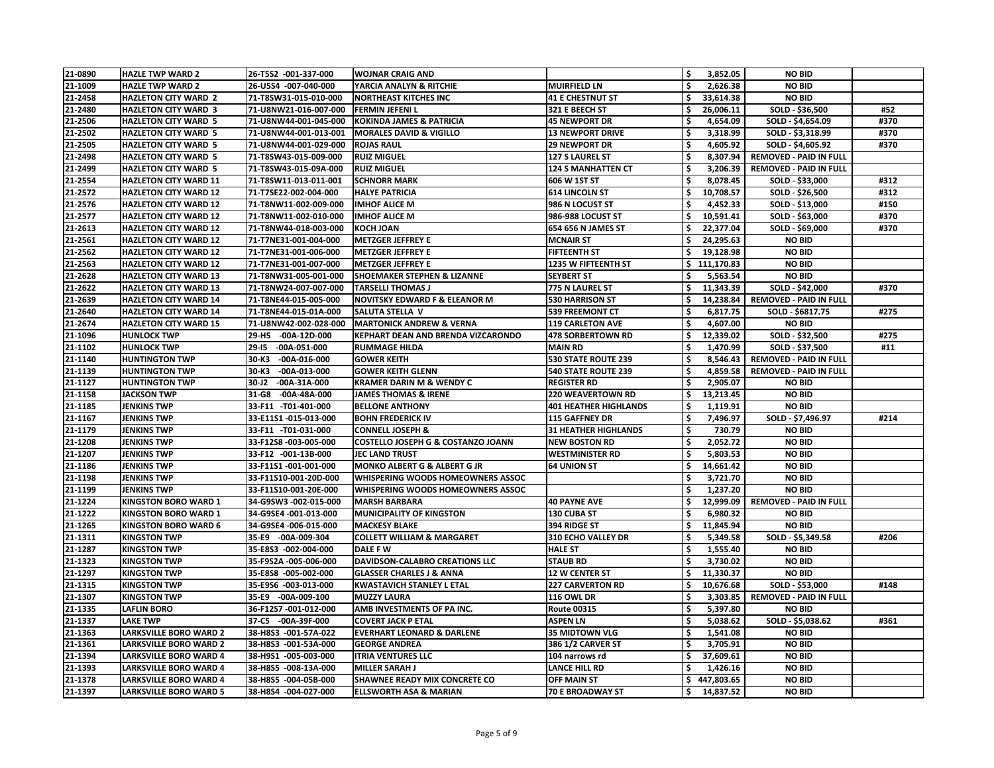| 21-0890       | <b>HAZLE TWP WARD 2</b>       | 26-T5S2 -001-337-000           | <b>WOJNAR CRAIG AND</b>                                 |                              | \$                  | 3,852.05     | <b>NO BID</b>                 |      |
|---------------|-------------------------------|--------------------------------|---------------------------------------------------------|------------------------------|---------------------|--------------|-------------------------------|------|
| 21-1009       | <b>HAZLE TWP WARD 2</b>       | 26-U5S4 -007-040-000           | YARCIA ANALYN & RITCHIE<br><b>NORTHEAST KITCHES INC</b> | <b>MUIRFIELD LN</b>          |                     | 2,626.38     | <b>NO BID</b>                 |      |
| 21-2458       | <b>HAZLETON CITY WARD 2</b>   | 71-T8SW31-015-010-000          |                                                         | <b>41 E CHESTNUT ST</b>      |                     | 33,614.38    | <b>NO BID</b>                 |      |
| 21-2480       | <b>HAZLETON CITY WARD 3</b>   | 71-U8NW21-016-007-000          | <b>FERMIN JEFENI L</b>                                  | 321 E BEECH ST               |                     | 26,006.11    | SOLD - \$36,500               | #52  |
| 21-2506       | <b>HAZLETON CITY WARD 5</b>   | 71-U8NW44-001-045-000          | <b>KOKINDA JAMES &amp; PATRICIA</b>                     | <b>45 NEWPORT DR</b>         | \$                  | 4,654.09     | SOLD - \$4,654.09             | #370 |
| 21-2502       | <b>HAZLETON CITY WARD 5</b>   | 71-U8NW44-001-013-001          | <b>MORALES DAVID &amp; VIGILLO</b>                      | <b>13 NEWPORT DRIVE</b>      | \$                  | 3,318.99     | SOLD - \$3,318.99             | #370 |
| 21-2505       | <b>HAZLETON CITY WARD 5</b>   | 71-U8NW44-001-029-000          | <b>ROJAS RAUL</b>                                       | <b>29 NEWPORT DR</b>         | $\ddot{\bm{\zeta}}$ | 4,605.92     | SOLD - \$4,605.92             | #370 |
| 21-2498       | <b>HAZLETON CITY WARD 5</b>   | 71-T8SW43-015-009-000          | <b>RUIZ MIGUEL</b>                                      | <b>127 S LAUREL ST</b>       |                     | 8,307.94     | <b>REMOVED - PAID IN FULL</b> |      |
| 21-2499       | <b>HAZLETON CITY WARD 5</b>   | 71-T8SW43-015-09A-000          | <b>RUIZ MIGUEL</b>                                      | <b>124 S MANHATTEN CT</b>    | \$                  | 3,206.39     | <b>REMOVED - PAID IN FULL</b> |      |
| 21-2554       | <b>HAZLETON CITY WARD 11</b>  | 71-T8SW11-013-011-001          | <b>SCHNORR MARK</b>                                     | 606 W 1ST ST                 | $\ddot{\bm{\zeta}}$ | 8,078.45     | SOLD - \$33,000               | #312 |
| 21-2572       | <b>HAZLETON CITY WARD 12</b>  | 71-T7SE22-002-004-000          | <b>HALYE PATRICIA</b>                                   | <b>614 LINCOLN ST</b>        |                     | 10,708.57    | SOLD - \$26,500               | #312 |
| 21-2576       | <b>HAZLETON CITY WARD 12</b>  | 71-T8NW11-002-009-000          | <b>IMHOF ALICE M</b>                                    | 986 N LOCUST ST              |                     | 4,452.33     | SOLD - \$13,000               | #150 |
| 21-2577       | <b>HAZLETON CITY WARD 12</b>  | 71-T8NW11-002-010-000          | <b>IMHOF ALICE M</b>                                    | <b>986-988 LOCUST ST</b>     |                     | 10,591.41    | SOLD - \$63,000               | #370 |
| 21-2613       | <b>HAZLETON CITY WARD 12</b>  | 71-T8NW44-018-003-000          | <b>KOCH JOAN</b>                                        | 654 656 N JAMES ST           | \$                  | 22,377.04    | SOLD - \$69,000               | #370 |
| 21-2561       | <b>HAZLETON CITY WARD 12</b>  | 71-T7NE31-001-004-000          | <b>METZGER JEFFREY E</b>                                | <b>MCNAIR ST</b>             |                     | 24,295.63    | <b>NO BID</b>                 |      |
| 21-2562       | <b>HAZLETON CITY WARD 12</b>  | 71-T7NE31-001-006-000          | <b>METZGER JEFFREY E</b>                                | <b>FIFTEENTH ST</b>          |                     | 19,128.98    | <b>NO BID</b>                 |      |
| 21-2563       | <b>HAZLETON CITY WARD 12</b>  | 71-T7NE31-001-007-000          | <b>METZGER JEFFREY E</b>                                | 1235 W FIFTEENTH ST          |                     | \$111,170.83 | <b>NO BID</b>                 |      |
| 21-2628       | <b>HAZLETON CITY WARD 13</b>  | 71-T8NW31-005-001-000          | <b>SHOEMAKER STEPHEN &amp; LIZANNE</b>                  | <b>SEYBERT ST</b>            |                     | 5,563.54     | <b>NO BID</b>                 |      |
| 21-2622       | <b>HAZLETON CITY WARD 13</b>  | 71-T8NW24-007-007-000          | <b>TARSELLI THOMAS J</b>                                | 775 N LAUREL ST              |                     | 11,343.39    | SOLD - \$42,000               | #370 |
| 21-2639       | <b>HAZLETON CITY WARD 14</b>  | 71-T8NE44-015-005-000          | <b>NOVITSKY EDWARD F &amp; ELEANOR M</b>                | <b>530 HARRISON ST</b>       |                     | 14,238.84    | <b>REMOVED - PAID IN FULL</b> |      |
| 21-2640       | <b>HAZLETON CITY WARD 14</b>  | 71-T8NE44-015-01A-000          | <b>SALUTA STELLA V</b>                                  | <b>539 FREEMONT CT</b>       |                     | 6,817.75     | SOLD - \$6817.75              | #275 |
| 21-2674       | <b>HAZLETON CITY WARD 15</b>  | 71-U8NW42-002-028-000          | <b>MARTONICK ANDREW &amp; VERNA</b>                     | <b>119 CARLETON AVE</b>      | \$                  | 4,607.00     | <b>NO BID</b>                 |      |
| 21-1096       | <b>HUNLOCK TWP</b>            | $-00A-12D-000$<br>29-H5        | KEPHART DEAN AND BRENDA VIZCARONDO                      | <b>478 SORBERTOWN RD</b>     |                     | 12,339.02    | SOLD - \$32,500               | #275 |
| 21-1102       | <b>HUNLOCK TWP</b>            | <b>29-15</b><br>$-00A-051-000$ | <b>RUMMAGE HILDA</b>                                    | <b>MAIN RD</b>               | \$                  | 1,470.99     | SOLD - \$37,500               | #11  |
| 21-1140       | <b>HUNTINGTON TWP</b>         | 30-K3<br>$-00A-016-000$        | <b>GOWER KEITH</b>                                      | <b>530 STATE ROUTE 239</b>   |                     | 8,546.43     | <b>REMOVED - PAID IN FULL</b> |      |
| 21-1139       | <b>HUNTINGTON TWP</b>         | $-00A-013-000$<br>30-K3        | <b>GOWER KEITH GLENN</b>                                | <b>540 STATE ROUTE 239</b>   |                     | 4,859.58     | <b>REMOVED - PAID IN FULL</b> |      |
| 21-1127       | <b>HUNTINGTON TWP</b>         | $30 - J2$<br>$-00A-31A-000$    | <b>KRAMER DARIN M &amp; WENDY C</b>                     | <b>REGISTER RD</b>           | \$                  | 2,905.07     | <b>NO BID</b>                 |      |
| 21-1158       | <b>JACKSON TWP</b>            | 31-G8<br>-00A-48A-000          | <b>JAMES THOMAS &amp; IRENE</b>                         | <b>220 WEAVERTOWN RD</b>     |                     | 13,213.45    | <b>NO BID</b>                 |      |
| 21-1185       | <b>JENKINS TWP</b>            | 33-F11 -T01-401-000            | <b>BELLONE ANTHONY</b>                                  | <b>401 HEATHER HIGHLANDS</b> | \$                  | 1,119.91     | <b>NO BID</b>                 |      |
| 21-1167       | <b>JENKINS TWP</b>            | 33-E11S1-015-013-000           | <b>BOHN FREDERICK IV</b>                                | <b>115 GAFFNEY DR</b>        | $\ddot{\bm{\zeta}}$ | 7,496.97     | SOLD - \$7,496.97             | #214 |
| 21-1179       | <b>JENKINS TWP</b>            | 33-F11 -T01-031-000            | <b>CONNELL JOSEPH &amp;</b>                             | <b>31 HEATHER HIGHLANDS</b>  | \$                  | 730.79       | <b>NO BID</b>                 |      |
| 21-1208       | JENKINS TWP                   | 33-F12S8-003-005-000           | <b>COSTELLO JOSEPH G &amp; COSTANZO JOANN</b>           | <b>NEW BOSTON RD</b>         | \$                  | 2,052.72     | <b>NO BID</b>                 |      |
| 21-1207       | <b>JENKINS TWP</b>            | 33-F12 -001-13B-000            | <b>JEC LAND TRUST</b>                                   | <b>WESTMINISTER RD</b>       | \$                  | 5,803.53     | <b>NO BID</b>                 |      |
| 21-1186       | <b>JENKINS TWP</b>            | 33-F11S1-001-001-000           | <b>MONKO ALBERT G &amp; ALBERT G JR</b>                 | <b>64 UNION ST</b>           |                     | 14,661.42    | <b>NO BID</b>                 |      |
| 21-1198       | <b>JENKINS TWP</b>            | 33-F11S10-001-20D-000          | WHISPERING WOODS HOMEOWNERS ASSOC                       |                              |                     | 3,721.70     | <b>NO BID</b>                 |      |
| 21-1199       | <b>JENKINS TWP</b>            | 33-F11S10-001-20E-000          | WHISPERING WOODS HOMEOWNERS ASSOC                       |                              |                     | 1,237.20     | <b>NO BID</b>                 |      |
| 21-1224       | <b>KINGSTON BORO WARD 1</b>   | 34-G9SW3 -002-015-000          | <b>MARSH BARBARA</b>                                    | <b>40 PAYNE AVE</b>          | \$                  | 12,999.09    | <b>REMOVED - PAID IN FULL</b> |      |
| 21-1222       | <b>KINGSTON BORO WARD 1</b>   | 34-G9SE4 -001-013-000          | <b>MUNICIPALITY OF KINGSTON</b>                         | 130 CUBA ST                  | \$                  | 6,980.32     | <b>NO BID</b>                 |      |
| 21-1265       | <b>KINGSTON BORO WARD 6</b>   | 34-G9SE4 -006-015-000          | <b>MACKESY BLAKE</b>                                    | 394 RIDGE ST                 | \$                  | 11,845.94    | <b>NO BID</b>                 |      |
| $ 21 - 1311 $ | <b>KINGSTON TWP</b>           | 35-E9 -00A-009-304             | <b>COLLETT WILLIAM &amp; MARGARET</b>                   | <b>310 ECHO VALLEY DR</b>    | \$                  | 5,349.58     | SOLD - \$5,349.58             | #206 |
| 21-1287       | <b>KINGSTON TWP</b>           | 35-E8S3 -002-004-000           | DALE F W                                                | <b>HALE ST</b>               |                     | 1,555.40     | <b>NO BID</b>                 |      |
| 21-1323       | <b>KINGSTON TWP</b>           | 35-F9S2A -005-006-000          | DAVIDSON-CALABRO CREATIONS LLC                          | <b>STAUB RD</b>              | \$                  | 3,730.02     | <b>NO BID</b>                 |      |
| 21-1297       | <b>KINGSTON TWP</b>           | 35-E8S8 -005-002-000           | <b>GLASSER CHARLES J &amp; ANNA</b>                     | <b>12 W CENTER ST</b>        | \$                  | 11,330.37    | <b>NO BID</b>                 |      |
| 21-1315       | <b>KINGSTON TWP</b>           | 35-E9S6 -003-013-000           | <b>KWASTAVICH STANLEY L ETAL</b>                        | <b>227 CARVERTON RD</b>      | \$                  | 10,676.68    | SOLD - \$53,000               | #148 |
| 21-1307       | <b>KINGSTON TWP</b>           | 35-E9 -00A-009-100             | <b>MUZZY LAURA</b>                                      | <b>116 OWL DR</b>            | $\ddot{\bm{\zeta}}$ | 3,303.85     | <b>REMOVED - PAID IN FULL</b> |      |
| 21-1335       | <b>LAFLIN BORO</b>            | 36-F12S7 -001-012-000          | AMB INVESTMENTS OF PA INC.                              | <b>Route 00315</b>           |                     | 5,397.80     | <b>NO BID</b>                 |      |
| 21-1337       | <b>LAKE TWP</b>               | 37-C5 -00A-39F-000             | <b>COVERT JACK P ETAL</b>                               | <b>ASPEN LN</b>              | \$                  | 5,038.62     | SOLD - \$5,038.62             | #361 |
| 21-1363       | <b>LARKSVILLE BORO WARD 2</b> | 38-H8S3 -001-57A-022           | <b>EVERHART LEONARD &amp; DARLENE</b>                   | <b>35 MIDTOWN VLG</b>        | \$                  | 1,541.08     | <b>NO BID</b>                 |      |
| 21-1361       | <b>LARKSVILLE BORO WARD 2</b> | 38-H8S3 -001-53A-000           | <b>GEORGE ANDREA</b>                                    | <b>386 1/2 CARVER ST</b>     | \$                  | 3,705.91     | <b>NO BID</b>                 |      |
| 21-1394       | <b>LARKSVILLE BORO WARD 4</b> | 38-H9S1 -005-003-000           | <b>ITRIA VENTURES LLC</b>                               | 104 narrows rd               | \$                  | 37,609.61    | <b>NO BID</b>                 |      |
| 21-1393       | <b>LARKSVILLE BORO WARD 4</b> | 38-H8S5 -008-13A-000           | <b>MILLER SARAH J</b>                                   | <b>LANCE HILL RD</b>         |                     | 1,426.16     | <b>NO BID</b>                 |      |
| 21-1378       | <b>LARKSVILLE BORO WARD 4</b> | 38-H8S5 -004-05B-000           | <b>SHAWNEE READY MIX CONCRETE CO</b>                    | <b>OFF MAIN ST</b>           | \$                  | 447,803.65   | <b>NO BID</b>                 |      |
| 21-1397       | <b>LARKSVILLE BORO WARD 5</b> | 38-H8S4 -004-027-000           | <b>ELLSWORTH ASA &amp; MARIAN</b>                       | 70 E BROADWAY ST             | \$                  | 14,837.52    | <b>NO BID</b>                 |      |
|               |                               |                                |                                                         |                              |                     |              |                               |      |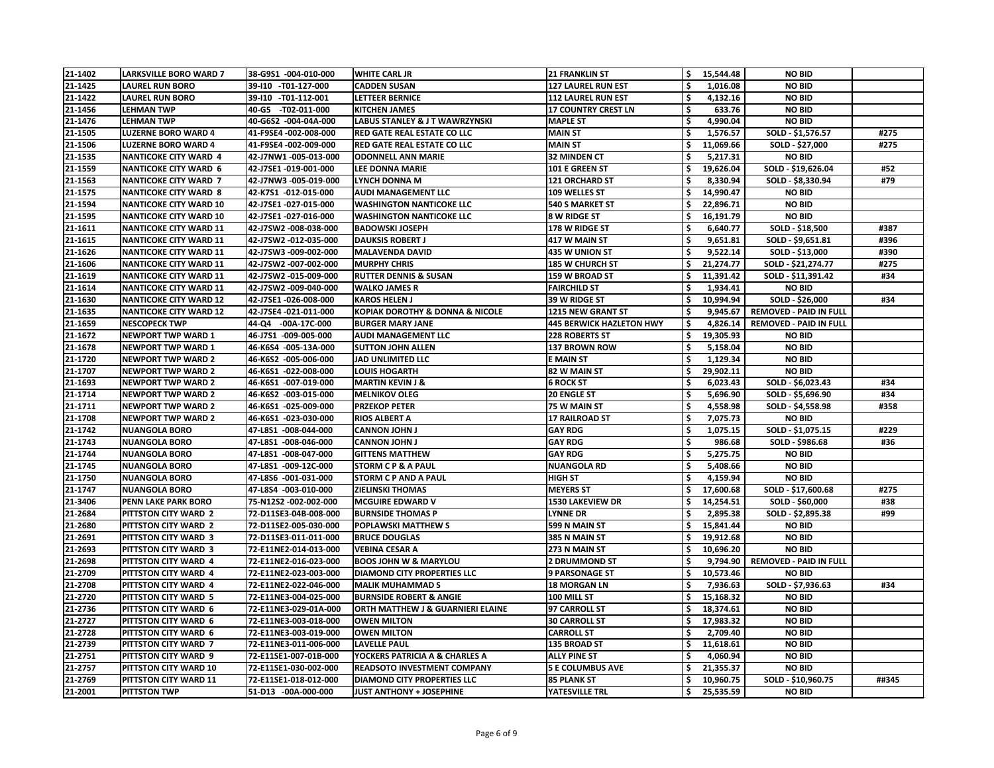| 21-1402 | <b>LARKSVILLE BORO WARD 7</b>                          | 38-G9S1 -004-010-000  | <b>WHITE CARL JR</b>                           | <b>21 FRANKLIN ST</b>           | 15,544.48       | <b>NO BID</b>                 |       |
|---------|--------------------------------------------------------|-----------------------|------------------------------------------------|---------------------------------|-----------------|-------------------------------|-------|
| 21-1425 | <b>LAUREL RUN BORO</b>                                 | 39-110 -T01-127-000   | <b>CADDEN SUSAN</b>                            | <b>127 LAUREL RUN EST</b>       | 1,016.08        | <b>NO BID</b>                 |       |
| 21-1422 | <b>LAUREL RUN BORO</b>                                 | 39-110 -T01-112-001   | <b>LETTEER BERNICE</b>                         | <b>112 LAUREL RUN EST</b>       | 4,132.16        | <b>NO BID</b>                 |       |
| 21-1456 | <b>LEHMAN TWP</b>                                      | 40-G5 -T02-011-000    | <b>KITCHEN JAMES</b>                           | <b>17 COUNTRY CREST LN</b>      | \$<br>633.76    | <b>NO BID</b>                 |       |
| 21-1476 | <b>LEHMAN TWP</b>                                      | 40-G6S2 -004-04A-000  | <b>LABUS STANLEY &amp; J T WAWRZYNSKI</b>      | <b>MAPLE ST</b>                 | \$<br>4,990.04  | <b>NO BID</b>                 |       |
| 21-1505 | <b>LUZERNE BORO WARD 4</b>                             | 41-F9SE4 -002-008-000 | <b>RED GATE REAL ESTATE CO LLC</b>             | <b>MAIN ST</b>                  | 1,576.57        | SOLD - \$1,576.57             | #275  |
| 21-1506 | <b>LUZERNE BORO WARD 4</b>                             | 41-F9SE4 -002-009-000 | <b>RED GATE REAL ESTATE CO LLC</b>             | <b>MAIN ST</b>                  | 11,069.66       | SOLD - \$27,000               | #275  |
| 21-1535 | <b>NANTICOKE CITY WARD 4</b>                           | 42-J7NW1-005-013-000  | <b>ODONNELL ANN MARIE</b>                      | <b>32 MINDEN CT</b>             | 5,217.31        | <b>NO BID</b>                 |       |
| 21-1559 | <b>NANTICOKE CITY WARD 6</b>                           | 42-J7SE1 -019-001-000 | <b>LEE DONNA MARIE</b>                         | 101 E GREEN ST                  | 19,626.04       | SOLD - \$19,626.04            | #52   |
| 21-1563 | <b>NANTICOKE CITY WARD 7</b>                           | 42-J7NW3 -005-019-000 | <b>LYNCH DONNA M</b>                           | <b>121 ORCHARD ST</b>           | \$<br>8,330.94  | SOLD - \$8,330.94             | #79   |
| 21-1575 | <b>NANTICOKE CITY WARD 8</b>                           | 42-K7S1 -012-015-000  | <b>AUDI MANAGEMENT LLC</b>                     | 109 WELLES ST                   | 14,990.47       | <b>NO BID</b>                 |       |
| 21-1594 | <b>NANTICOKE CITY WARD 10</b>                          | 42-J7SE1 -027-015-000 | <b>WASHINGTON NANTICOKE LLC</b>                | <b>540 S MARKET ST</b>          | 22,896.71       | <b>NO BID</b>                 |       |
| 21-1595 | <b>NANTICOKE CITY WARD 10</b>                          | 42-J7SE1 -027-016-000 | <b>WASHINGTON NANTICOKE LLC</b>                | 8 W RIDGE ST                    | 16,191.79       | <b>NO BID</b>                 |       |
| 21-1611 | <b>NANTICOKE CITY WARD 11</b>                          | 42-J7SW2 -008-038-000 | <b>BADOWSKI JOSEPH</b>                         | 178 W RIDGE ST                  | \$<br>6,640.77  | SOLD - \$18,500               | #387  |
| 21-1615 | <b>NANTICOKE CITY WARD 11</b>                          | 42-J7SW2 -012-035-000 | <b>DAUKSIS ROBERT J</b>                        | 417 W MAIN ST                   | 9,651.81        | SOLD - \$9,651.81             | #396  |
| 21-1626 | <b>NANTICOKE CITY WARD 11</b>                          | 42-J7SW3 -009-002-000 | <b>MALAVENDA DAVID</b>                         | 435 W UNION ST                  | 9,522.14        | SOLD - \$13,000               | #390  |
| 21-1606 | <b>NANTICOKE CITY WARD 11</b>                          | 42-J7SW2 -007-002-000 | <b>MURPHY CHRIS</b>                            | <b>185 W CHURCH ST</b>          | 21,274.77       | SOLD - \$21,274.77            | #275  |
| 21-1619 | <b>NANTICOKE CITY WARD 11</b>                          | 42-J7SW2 -015-009-000 | <b>RUTTER DENNIS &amp; SUSAN</b>               | 159 W BROAD ST                  | 11,391.42       | SOLD - \$11,391.42            | #34   |
| 21-1614 | <b>NANTICOKE CITY WARD 11</b>                          | 42-J7SW2 -009-040-000 | <b>WALKO JAMES R</b>                           | <b>FAIRCHILD ST</b>             | \$<br>1,934.41  | <b>NO BID</b>                 |       |
| 21-1630 | <b>NANTICOKE CITY WARD 12</b>                          | 42-J7SE1 -026-008-000 | <b>KAROS HELEN J</b>                           | 39 W RIDGE ST                   | 10,994.94       | SOLD - \$26,000               | #34   |
| 21-1635 | <b>NANTICOKE CITY WARD 12</b>                          | 42-J7SE4 -021-011-000 | <b>KOPIAK DOROTHY &amp; DONNA &amp; NICOLE</b> | 1215 NEW GRANT ST               | 9,945.67        | <b>REMOVED - PAID IN FULL</b> |       |
| 21-1659 | <b>NESCOPECK TWP</b>                                   | 44-Q4 -00A-17C-000    | <b>BURGER MARY JANE</b>                        | <b>445 BERWICK HAZLETON HWY</b> | 4,826.14        | <b>REMOVED - PAID IN FULL</b> |       |
| 21-1672 | <b>NEWPORT TWP WARD 1</b>                              | 46-J7S1 -009-005-000  | <b>AUDI MANAGEMENT LLC</b>                     | <b>228 ROBERTS ST</b>           | 19,305.93       | <b>NO BID</b>                 |       |
| 21-1678 | <b>NEWPORT TWP WARD 1</b>                              | 46-K6S4 -005-13A-000  | <b>SUTTON JOHN ALLEN</b>                       | 137 BROWN ROW                   | \$<br>5,158.04  | <b>NO BID</b>                 |       |
| 21-1720 | <b>NEWPORT TWP WARD 2</b>                              | 46-K6S2 -005-006-000  | <b>JAD UNLIMITED LLC</b>                       | <b>E MAIN ST</b>                | 1,129.34        | <b>NO BID</b>                 |       |
| 21-1707 | <b>NEWPORT TWP WARD 2</b>                              | 46-K6S1 -022-008-000  | <b>LOUIS HOGARTH</b>                           | 82 W MAIN ST                    | 29,902.11       | <b>NO BID</b>                 |       |
| 21-1693 | <b>NEWPORT TWP WARD 2</b>                              | 46-K6S1 -007-019-000  | <b>MARTIN KEVIN J &amp;</b>                    | <b>6 ROCK ST</b>                | 6,023.43        | SOLD - \$6,023.43             | #34   |
| 21-1714 |                                                        | 46-K6S2 -003-015-000  |                                                | <b>20 ENGLE ST</b>              | 5,696.90        |                               | #34   |
| 21-1711 | <b>NEWPORT TWP WARD 2</b><br><b>NEWPORT TWP WARD 2</b> | 46-K6S1 -025-009-000  | <b>MELNIKOV OLEG</b><br><b>PRZEKOP PETER</b>   | 75 W MAIN ST                    | \$              | SOLD - \$5,696.90             | #358  |
|         |                                                        |                       |                                                |                                 | 4,558.98        | SOLD - \$4,558.98             |       |
| 21-1708 | <b>NEWPORT TWP WARD 2</b>                              | 46-K6S1 -023-030-000  | <b>RIOS ALBERT A</b>                           | <b>17 RAILROAD ST</b>           | 7,075.73        | <b>NO BID</b>                 |       |
| 21-1742 | <b>NUANGOLA BORO</b>                                   | 47-L8S1 -008-044-000  | <b>CANNON JOHN J</b>                           | <b>GAY RDG</b>                  | 1,075.15        | SOLD - \$1,075.15             | #229  |
| 21-1743 | <b>NUANGOLA BORO</b>                                   | 47-L8S1 -008-046-000  | <b>CANNON JOHN J</b>                           | <b>GAY RDG</b>                  | \$<br>986.68    | SOLD - \$986.68               | #36   |
| 21-1744 | <b>NUANGOLA BORO</b>                                   | 47-L8S1 -008-047-000  | <b>GITTENS MATTHEW</b>                         | <b>GAY RDG</b>                  | \$<br>5,275.75  | <b>NO BID</b>                 |       |
| 21-1745 | <b>NUANGOLA BORO</b>                                   | 47-L8S1 -009-12C-000  | <b>STORM C P &amp; A PAUL</b>                  | <b>NUANGOLA RD</b>              | 5,408.66        | <b>NO BID</b>                 |       |
| 21-1750 | <b>NUANGOLA BORO</b>                                   | 47-L8S6 -001-031-000  | <b>STORM C P AND A PAUL</b>                    | <b>HIGH ST</b>                  | 4,159.94        | <b>NO BID</b>                 |       |
| 21-1747 | <b>NUANGOLA BORO</b>                                   | 47-L8S4 -003-010-000  | <b>ZIELINSKI THOMAS</b>                        | <b>MEYERS ST</b>                | 17,600.68       | SOLD - \$17,600.68            | #275  |
| 21-3406 | <b>PENN LAKE PARK BORO</b>                             | 75-N12S2-002-002-000  | <b>MCGUIRE EDWARD V</b>                        | <b>1530 LAKEVIEW DR</b>         | \$<br>14,254.51 | SOLD - \$60,000               | #38   |
| 21-2684 | PITTSTON CITY WARD 2                                   | 72-D11SE3-04B-008-000 | <b>BURNSIDE THOMAS P</b>                       | <b>LYNNE DR</b>                 | \$<br>2,895.38  | SOLD - \$2,895.38             | #99   |
| 21-2680 | PITTSTON CITY WARD 2                                   | 72-D11SE2-005-030-000 | <b>POPLAWSKI MATTHEW S</b>                     | 599 N MAIN ST                   | 15,841.44       | <b>NO BID</b>                 |       |
| 21-2691 | PITTSTON CITY WARD 3                                   | 72-D11SE3-011-011-000 | <b>BRUCE DOUGLAS</b>                           | 385 N MAIN ST                   | \$<br>19,912.68 | <b>NO BID</b>                 |       |
| 21-2693 | PITTSTON CITY WARD 3                                   | 72-E11NE2-014-013-000 | <b>VEBINA CESAR A</b>                          | 273 N MAIN ST                   | 10,696.20       | <b>NO BID</b>                 |       |
| 21-2698 | <b>PITTSTON CITY WARD 4</b>                            | 72-E11NE2-016-023-000 | <b>BOOS JOHN W &amp; MARYLOU</b>               | <b>2 DRUMMOND ST</b>            | \$<br>9,794.90  | <b>REMOVED - PAID IN FULL</b> |       |
| 21-2709 | PITTSTON CITY WARD 4                                   | 72-E11NE2-023-003-000 | <b>DIAMOND CITY PROPERTIES LLC</b>             | <b>9 PARSONAGE ST</b>           | 10,573.46       | <b>NO BID</b>                 |       |
| 21-2708 | PITTSTON CITY WARD 4                                   | 72-E11NE2-022-046-000 | <b>MALIK MUHAMMAD S</b>                        | <b>18 MORGAN LN</b>             | \$<br>7,936.63  | SOLD - \$7,936.63             | #34   |
| 21-2720 | PITTSTON CITY WARD 5                                   | 72-E11NE3-004-025-000 | <b>BURNSIDE ROBERT &amp; ANGIE</b>             | 100 MILL ST                     | 15,168.32       | <b>NO BID</b>                 |       |
| 21-2736 | <b>PITTSTON CITY WARD 6</b>                            | 72-E11NE3-029-01A-000 | <b>ORTH MATTHEW J &amp; GUARNIERI ELAINE</b>   | 97 CARROLL ST                   | 18,374.61       | <b>NO BID</b>                 |       |
| 21-2727 | PITTSTON CITY WARD 6                                   | 72-E11NE3-003-018-000 | <b>OWEN MILTON</b>                             | <b>30 CARROLL ST</b>            | \$<br>17,983.32 | <b>NO BID</b>                 |       |
| 21-2728 | PITTSTON CITY WARD 6                                   | 72-E11NE3-003-019-000 | <b>OWEN MILTON</b>                             | <b>CARROLL ST</b>               | 2,709.40        | <b>NO BID</b>                 |       |
| 21-2739 | PITTSTON CITY WARD 7                                   | 72-E11NE3-011-006-000 | <b>LAVELLE PAUL</b>                            | 135 BROAD ST                    | 11,618.61       | <b>NO BID</b>                 |       |
| 21-2751 | PITTSTON CITY WARD 9                                   | 72-E11SE1-007-01B-000 | YOCKERS PATRICIA A & CHARLES A                 | <b>ALLY PINE ST</b>             | \$<br>4,060.94  | <b>NO BID</b>                 |       |
| 21-2757 | <b>PITTSTON CITY WARD 10</b>                           | 72-E11SE1-030-002-000 | <b>READSOTO INVESTMENT COMPANY</b>             | <b>5 E COLUMBUS AVE</b>         | 21,355.37       | <b>NO BID</b>                 |       |
| 21-2769 | PITTSTON CITY WARD 11                                  | 72-E11SE1-018-012-000 | <b>DIAMOND CITY PROPERTIES LLC</b>             | <b>85 PLANK ST</b>              | \$<br>10,960.75 | SOLD - \$10,960.75            | ##345 |
| 21-2001 | <b>PITTSTON TWP</b>                                    | 51-D13 -00A-000-000   | <b>JUST ANTHONY + JOSEPHINE</b>                | YATESVILLE TRL                  | \$<br>25,535.59 | <b>NO BID</b>                 |       |
|         |                                                        |                       |                                                |                                 |                 |                               |       |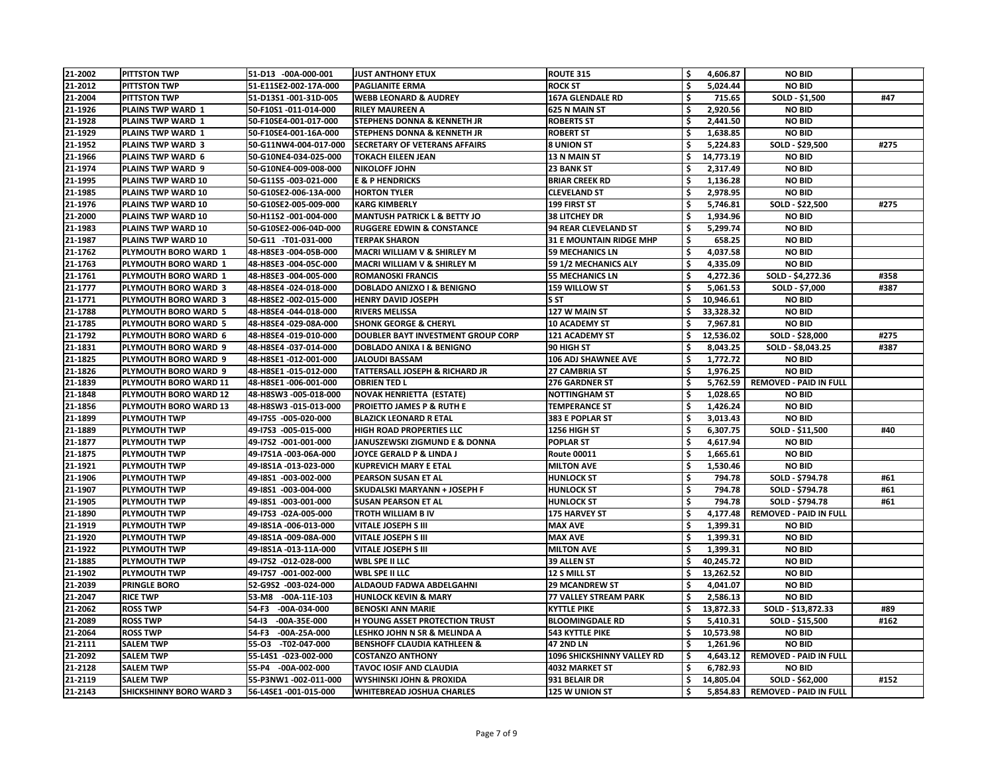| 21-2002 | <b>PITTSTON TWP</b>            | 51-D13 -00A-000-001     | <b>JUST ANTHONY ETUX</b>                  | <b>ROUTE 315</b>                  | \$                  | 4,606.87  | <b>NO BID</b>                 |      |
|---------|--------------------------------|-------------------------|-------------------------------------------|-----------------------------------|---------------------|-----------|-------------------------------|------|
| 21-2012 | <b>PITTSTON TWP</b>            | 51-E11SE2-002-17A-000   | <b>PAGLIANITE ERMA</b>                    | <b>ROCK ST</b>                    |                     | 5,024.44  | <b>NO BID</b>                 |      |
| 21-2004 | <b>PITTSTON TWP</b>            | 51-D13S1-001-31D-005    | <b>WEBB LEONARD &amp; AUDREY</b>          | <b>167A GLENDALE RD</b>           | \$                  | 715.65    | SOLD - \$1,500                | #47  |
| 21-1926 | <b>PLAINS TWP WARD 1</b>       | 50-F10S1-011-014-000    | <b>RILEY MAUREEN A</b>                    | 625 N MAIN ST                     | $\ddot{\bm{\zeta}}$ | 2,920.56  | <b>NO BID</b>                 |      |
| 21-1928 | <b>PLAINS TWP WARD 1</b>       | 50-F10SE4-001-017-000   | <b>STEPHENS DONNA &amp; KENNETH JR</b>    | <b>ROBERTS ST</b>                 | \$                  | 2,441.50  | <b>NO BID</b>                 |      |
| 21-1929 | <b>PLAINS TWP WARD 1</b>       | 50-F10SE4-001-16A-000   | <b>STEPHENS DONNA &amp; KENNETH JR</b>    | <b>ROBERT ST</b>                  | \$                  | 1,638.85  | <b>NO BID</b>                 |      |
| 21-1952 | <b>PLAINS TWP WARD 3</b>       | 50-G11NW4-004-017-000   | <b>SECRETARY OF VETERANS AFFAIRS</b>      | <b>8 UNION ST</b>                 | \$                  | 5,224.83  | SOLD - \$29,500               | #275 |
| 21-1966 | <b>PLAINS TWP WARD 6</b>       | 50-G10NE4-034-025-000   | <b>TOKACH EILEEN JEAN</b>                 | 13 N MAIN ST                      |                     | 14,773.19 | <b>NO BID</b>                 |      |
| 21-1974 | <b>PLAINS TWP WARD 9</b>       | 50-G10NE4-009-008-000   | <b>NIKOLOFF JOHN</b>                      | <b>23 BANK ST</b>                 | \$                  | 2,317.49  | <b>NO BID</b>                 |      |
| 21-1995 | <b>PLAINS TWP WARD 10</b>      | 50-G11S5 -003-021-000   | <b>E &amp; P HENDRICKS</b>                | <b>BRIAR CREEK RD</b>             | \$                  | 1,136.28  | <b>NO BID</b>                 |      |
| 21-1985 | <b>PLAINS TWP WARD 10</b>      | 50-G10SE2-006-13A-000   | <b>HORTON TYLER</b>                       | <b>CLEVELAND ST</b>               | \$                  | 2,978.95  | <b>NO BID</b>                 |      |
| 21-1976 | <b>PLAINS TWP WARD 10</b>      | 50-G10SE2-005-009-000   | <b>KARG KIMBERLY</b>                      | 199 FIRST ST                      |                     | 5,746.81  | SOLD - \$22,500               | #275 |
| 21-2000 | <b>PLAINS TWP WARD 10</b>      | 50-H11S2 -001-004-000   | <b>MANTUSH PATRICK L &amp; BETTY JO</b>   | <b>38 LITCHEY DR</b>              |                     | 1,934.96  | <b>NO BID</b>                 |      |
| 21-1983 | <b>PLAINS TWP WARD 10</b>      | 50-G10SE2-006-04D-000   | <b>RUGGERE EDWIN &amp; CONSTANCE</b>      | <b>94 REAR CLEVELAND ST</b>       | \$                  | 5,299.74  | <b>NO BID</b>                 |      |
| 21-1987 | <b>PLAINS TWP WARD 10</b>      | 50-G11 -T01-031-000     | <b>TERPAK SHARON</b>                      | 31 E MOUNTAIN RIDGE MHP           | \$                  | 658.25    | <b>NO BID</b>                 |      |
| 21-1762 | PLYMOUTH BORO WARD 1           | 48-H8SE3 -004-05B-000   | MACRI WILLIAM V & SHIRLEY M               | <b>59 MECHANICS LN</b>            |                     | 4,037.58  | <b>NO BID</b>                 |      |
| 21-1763 | PLYMOUTH BORO WARD 1           | 48-H8SE3 -004-05C-000   | <b>MACRI WILLIAM V &amp; SHIRLEY M</b>    | 59 1/2 MECHANICS ALY              | $\ddot{\bm{\zeta}}$ | 4,335.09  | <b>NO BID</b>                 |      |
| 21-1761 | <b>PLYMOUTH BORO WARD 1</b>    | 48-H8SE3 -004-005-000   | <b>ROMANOSKI FRANCIS</b>                  | <b>55 MECHANICS LN</b>            | $\ddot{\bm{\zeta}}$ | 4,272.36  | SOLD - \$4,272.36             | #358 |
| 21-1777 | PLYMOUTH BORO WARD 3           | 48-H8SE4 -024-018-000   | <b>DOBLADO ANIZXO I &amp; BENIGNO</b>     | <b>159 WILLOW ST</b>              | \$                  | 5,061.53  | SOLD - \$7,000                | #387 |
| 21-1771 | PLYMOUTH BORO WARD 3           | 48-H8SE2 -002-015-000   | <b>HENRY DAVID JOSEPH</b>                 | S ST                              |                     | 10,946.61 | <b>NO BID</b>                 |      |
| 21-1788 | <b>PLYMOUTH BORO WARD 5</b>    | 48-H8SE4 -044-018-000   | <b>RIVERS MELISSA</b>                     | 127 W MAIN ST                     |                     | 33,328.32 | <b>NO BID</b>                 |      |
| 21-1785 | <b>PLYMOUTH BORO WARD 5</b>    | 48-H8SE4 -029-08A-000   | <b>SHONK GEORGE &amp; CHERYL</b>          | <b>10 ACADEMY ST</b>              | \$                  | 7,967.81  | <b>NO BID</b>                 |      |
| 21-1792 | <b>PLYMOUTH BORO WARD 6</b>    | 48-H8SE4 -019-010-000   | <b>DOUBLER BAYT INVESTMENT GROUP CORP</b> | <b>121 ACADEMY ST</b>             |                     | 12,536.02 | SOLD - \$28,000               | #275 |
| 21-1831 | <b>PLYMOUTH BORO WARD 9</b>    | 48-H8SE4 -037-014-000   | <b>DOBLADO ANIXA I &amp; BENIGNO</b>      | 90 HIGH ST                        | \$                  | 8,043.25  | SOLD - \$8,043.25             | #387 |
| 21-1825 | <b>PLYMOUTH BORO WARD 9</b>    | 48-H8SE1-012-001-000    | <b>JALOUDI BASSAM</b>                     | <b>106 ADJ SHAWNEE AVE</b>        |                     | 1,772.72  | <b>NO BID</b>                 |      |
| 21-1826 | <b>PLYMOUTH BORO WARD 9</b>    | 48-H8SE1-015-012-000    | <b>TATTERSALL JOSEPH &amp; RICHARD JR</b> | 27 CAMBRIA ST                     |                     | 1,976.25  | <b>NO BID</b>                 |      |
| 21-1839 | PLYMOUTH BORO WARD 11          | 48-H8SE1 -006-001-000   | <b>OBRIEN TED L</b>                       | <b>276 GARDNER ST</b>             | \$                  | 5,762.59  | <b>REMOVED - PAID IN FULL</b> |      |
| 21-1848 | PLYMOUTH BORO WARD 12          | 48-H8SW3-005-018-000    | <b>NOVAK HENRIETTA (ESTATE)</b>           | <b>NOTTINGHAM ST</b>              | \$                  | 1,028.65  | <b>NO BID</b>                 |      |
| 21-1856 | PLYMOUTH BORO WARD 13          | 48-H8SW3 -015-013-000   | <b>PROIETTO JAMES P &amp; RUTH E</b>      | <b>TEMPERANCE ST</b>              | \$                  | 1,426.24  | <b>NO BID</b>                 |      |
| 21-1899 | PLYMOUTH TWP                   | 49-1755 -005-020-000    | <b>BLAZICK LEONARD R ETAL</b>             | 383 E POPLAR ST                   |                     | 3,013.43  | <b>NO BID</b>                 |      |
| 21-1889 | <b>PLYMOUTH TWP</b>            | 49-17S3 -005-015-000    | <b>HIGH ROAD PROPERTIES LLC</b>           | 1256 HIGH ST                      |                     | 6,307.75  | SOLD - \$11,500               | #40  |
| 21-1877 | <b>PLYMOUTH TWP</b>            | 49-17S2 -001-001-000    | JANUSZEWSKI ZIGMUND E & DONNA             | <b>POPLAR ST</b>                  | \$                  | 4,617.94  | <b>NO BID</b>                 |      |
| 21-1875 | PLYMOUTH TWP                   | 49-17S1A -003-06A-000   | <b>JOYCE GERALD P &amp; LINDA J</b>       | <b>Route 00011</b>                | \$                  | 1,665.61  | <b>NO BID</b>                 |      |
| 21-1921 | PLYMOUTH TWP                   | 49-18S1A -013-023-000   | <b>KUPREVICH MARY E ETAL</b>              | <b>MILTON AVE</b>                 |                     | 1,530.46  | <b>NO BID</b>                 |      |
| 21-1906 | <b>PLYMOUTH TWP</b>            | 49-18S1 -003-002-000    | PEARSON SUSAN ET AL                       | <b>HUNLOCK ST</b>                 |                     | 794.78    | SOLD - \$794.78               | #61  |
| 21-1907 | <b>PLYMOUTH TWP</b>            | 49-18S1 -003-004-000    | <b>SKUDALSKI MARYANN + JOSEPH F</b>       | <b>HUNLOCK ST</b>                 | $\ddot{\bm{\zeta}}$ | 794.78    | SOLD - \$794.78               | #61  |
| 21-1905 | <b>PLYMOUTH TWP</b>            | 49-18S1 -003-001-000    | <b>SUSAN PEARSON ET AL</b>                | <b>HUNLOCK ST</b>                 | \$                  | 794.78    | SOLD - \$794.78               | #61  |
| 21-1890 | PLYMOUTH TWP                   | 49-17S3 -02A-005-000    | <b>TROTH WILLIAM B IV</b>                 | <b>175 HARVEY ST</b>              | \$                  | 4,177.48  | <b>REMOVED - PAID IN FULL</b> |      |
| 21-1919 | PLYMOUTH TWP                   | 49-18S1A -006-013-000   | <b>VITALE JOSEPH S III</b>                | <b>MAX AVE</b>                    | \$                  | 1,399.31  | <b>NO BID</b>                 |      |
| 21-1920 | <b>PLYMOUTH TWP</b>            | 49-18S1A -009-08A-000   | <b>VITALE JOSEPH S III</b>                | <b>MAX AVE</b>                    | \$                  | 1,399.31  | <b>NO BID</b>                 |      |
| 21-1922 | <b>PLYMOUTH TWP</b>            | 49-18S1A -013-11A-000   | VITALE JOSEPH S III                       | <b>MILTON AVE</b>                 |                     | 1,399.31  | <b>NO BID</b>                 |      |
| 21-1885 | <b>PLYMOUTH TWP</b>            | 49-17S2 -012-028-000    | <b>WBL SPE II LLC</b>                     | <b>39 ALLEN ST</b>                | \$                  | 40,245.72 | <b>NO BID</b>                 |      |
| 21-1902 | PLYMOUTH TWP                   | 49-1757 -001-002-000    | <b>WBL SPE II LLC</b>                     | 12 S MILL ST                      |                     | 13,262.52 | <b>NO BID</b>                 |      |
| 21-2039 | <b>PRINGLE BORO</b>            | 52-G9S2 -003-024-000    | <b>ALDAOUD FADWA ABDELGAHNI</b>           | <b>29 MCANDREW ST</b>             |                     | 4,041.07  | <b>NO BID</b>                 |      |
| 21-2047 | <b>RICE TWP</b>                | 53-M8 -00A-11E-103      | <b>HUNLOCK KEVIN &amp; MARY</b>           | 77 VALLEY STREAM PARK             | \$                  | 2,586.13  | <b>NO BID</b>                 |      |
| 21-2062 | <b>ROSS TWP</b>                | 54-F3<br>-00A-034-000   | <b>BENOSKI ANN MARIE</b>                  | <b>KYTTLE PIKE</b>                |                     | 13,872.33 | SOLD - \$13,872.33            | #89  |
| 21-2089 | <b>ROSS TWP</b>                | 54-13<br>$-00A-35E-000$ | H YOUNG ASSET PROTECTION TRUST            | <b>BLOOMINGDALE RD</b>            | \$                  | 5,410.31  | SOLD - \$15,500               | #162 |
| 21-2064 | <b>ROSS TWP</b>                | 54-F3<br>$-00A-25A-000$ | LESHKO JOHN N SR & MELINDA A              | <b>543 KYTTLE PIKE</b>            |                     | 10,573.98 | <b>NO BID</b>                 |      |
| 21-2111 | <b>SALEM TWP</b>               | 55-03 -T02-047-000      | <b>BENSHOFF CLAUDIA KATHLEEN &amp;</b>    | <b>47 2ND LN</b>                  |                     | 1,261.96  | <b>NO BID</b>                 |      |
| 21-2092 | <b>SALEM TWP</b>               | 55-L4S1 -023-002-000    | <b>COSTANZO ANTHONY</b>                   | <b>1096 SHICKSHINNY VALLEY RD</b> | \$                  | 4,643.12  | <b>REMOVED - PAID IN FULL</b> |      |
| 21-2128 | <b>SALEM TWP</b>               | 55-P4 -00A-002-000      | <b>TAVOC IOSIF AND CLAUDIA</b>            | <b>4032 MARKET ST</b>             |                     | 6,782.93  | <b>NO BID</b>                 |      |
| 21-2119 | <b>SALEM TWP</b>               | 55-P3NW1-002-011-000    | <b>WYSHINSKI JOHN &amp; PROXIDA</b>       | 931 BELAIR DR                     | \$                  | 14,805.04 | SOLD - \$62,000               | #152 |
| 21-2143 | <b>SHICKSHINNY BORO WARD 3</b> | 56-L4SE1 -001-015-000   | <b>WHITEBREAD JOSHUA CHARLES</b>          | 125 W UNION ST                    | \$                  | 5,854.83  | <b>REMOVED - PAID IN FULL</b> |      |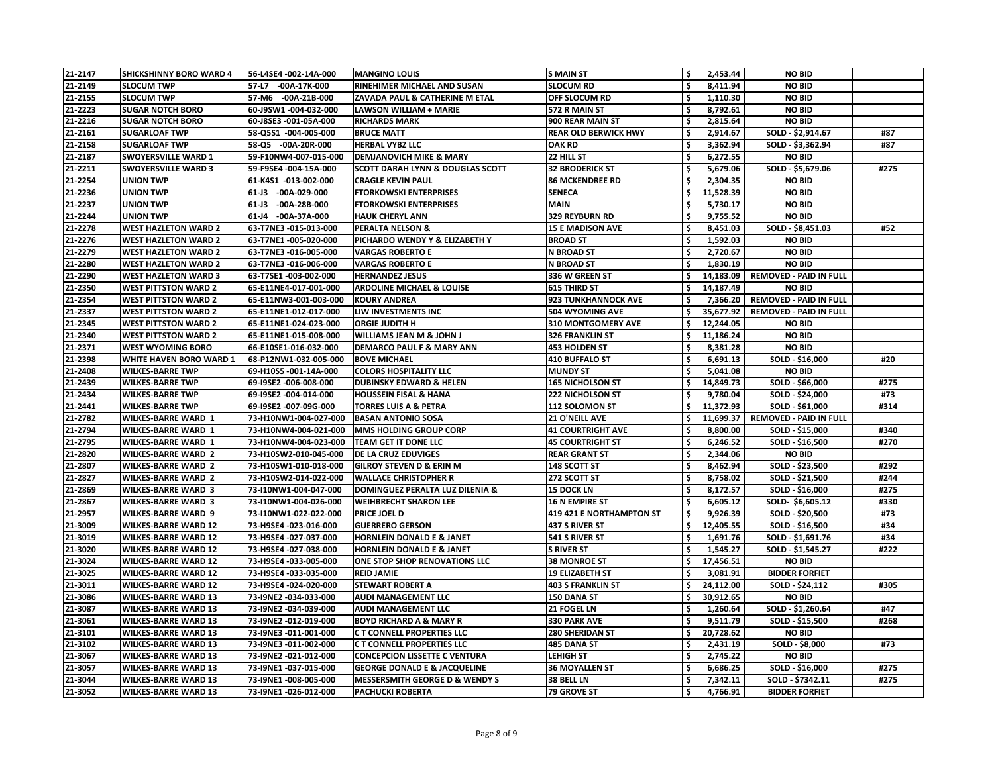| 21-2147 | <b>SHICKSHINNY BORO WARD 4</b>                             | 56-L4SE4 -002-14A-000   | <b>MANGINO LOUIS</b>                        | <b>S MAIN ST</b>            | \$                  | 2,453.44  | <b>NO BID</b>                 |      |
|---------|------------------------------------------------------------|-------------------------|---------------------------------------------|-----------------------------|---------------------|-----------|-------------------------------|------|
| 21-2149 | <b>SLOCUM TWP</b>                                          | 57-L7 -00A-17K-000      | RINEHIMER MICHAEL AND SUSAN                 | <b>SLOCUM RD</b>            |                     | 8,411.94  | <b>NO BID</b>                 |      |
| 21-2155 | <b>SLOCUM TWP</b>                                          | 57-M6 -00A-21B-000      | ZAVADA PAUL & CATHERINE M ETAL              | <b>OFF SLOCUM RD</b>        |                     | 1,110.30  | <b>NO BID</b>                 |      |
| 21-2223 | <b>SUGAR NOTCH BORO</b>                                    | 60-J9SW1-004-032-000    | <b>LAWSON WILLIAM + MARIE</b>               | 572 R MAIN ST               | \$                  | 8,792.61  | <b>NO BID</b>                 |      |
| 21-2216 | <b>SUGAR NOTCH BORO</b>                                    | 60-J8SE3 -001-05A-000   | <b>RICHARDS MARK</b>                        | 900 REAR MAIN ST            | \$                  | 2,815.64  | <b>NO BID</b>                 |      |
| 21-2161 | <b>SUGARLOAF TWP</b>                                       | 58-Q5S1 -004-005-000    | <b>BRUCE MATT</b>                           | <b>REAR OLD BERWICK HWY</b> |                     | 2,914.67  | SOLD - \$2,914.67             | #87  |
| 21-2158 | <b>SUGARLOAF TWP</b>                                       | 58-Q5 -00A-20R-000      | <b>HERBAL VYBZ LLC</b>                      | <b>OAK RD</b>               | \$                  | 3,362.94  | SOLD - \$3,362.94             | #87  |
| 21-2187 | <b>SWOYERSVILLE WARD 1</b>                                 | 59-F10NW4-007-015-000   | <b>DEMJANOVICH MIKE &amp; MARY</b>          | 22 HILL ST                  |                     | 6,272.55  | <b>NO BID</b>                 |      |
| 21-2211 | <b>SWOYERSVILLE WARD 3</b>                                 | 59-F9SE4 -004-15A-000   | <b>SCOTT DARAH LYNN &amp; DOUGLAS SCOTT</b> | <b>32 BRODERICK ST</b>      | \$                  | 5,679.06  | SOLD - \$5,679.06             | #275 |
| 21-2254 | <b>UNION TWP</b>                                           | 61-K4S1 -013-002-000    | <b>CRAGLE KEVIN PAUL</b>                    | <b>86 MCKENDREE RD</b>      | \$                  | 2,304.35  | <b>NO BID</b>                 |      |
| 21-2236 | <b>UNION TWP</b>                                           | 61-J3 -00A-029-000      | <b>FTORKOWSKI ENTERPRISES</b>               | <b>SENECA</b>               |                     | 11,528.39 | <b>NO BID</b>                 |      |
| 21-2237 | <b>UNION TWP</b>                                           | -00A-28B-000<br>$61-J3$ | <b>FTORKOWSKI ENTERPRISES</b>               | <b>MAIN</b>                 | \$                  | 5,730.17  | <b>NO BID</b>                 |      |
| 21-2244 | <b>UNION TWP</b>                                           | 61-J4 -00A-37A-000      | <b>HAUK CHERYL ANN</b>                      | <b>329 REYBURN RD</b>       |                     | 9,755.52  | <b>NO BID</b>                 |      |
| 21-2278 | <b>WEST HAZLETON WARD 2</b>                                | 63-T7NE3 -015-013-000   | <b>PERALTA NELSON &amp;</b>                 | <b>15 E MADISON AVE</b>     | \$                  | 8,451.03  | SOLD - \$8,451.03             | #52  |
| 21-2276 | <b>WEST HAZLETON WARD 2</b>                                | 63-T7NE1-005-020-000    | PICHARDO WENDY Y & ELIZABETH Y              | <b>BROAD ST</b>             | $\ddot{\bm{\zeta}}$ | 1,592.03  | <b>NO BID</b>                 |      |
| 21-2279 | <b>WEST HAZLETON WARD 2</b>                                | 63-T7NE3 -016-005-000   | <b>VARGAS ROBERTO E</b>                     | <b>N BROAD ST</b>           |                     | 2,720.67  | <b>NO BID</b>                 |      |
| 21-2280 | <b>WEST HAZLETON WARD 2</b>                                | 63-T7NE3 -016-006-000   | <b>VARGAS ROBERTO E</b>                     | <b>N BROAD ST</b>           | \$                  | 1,830.19  | <b>NO BID</b>                 |      |
| 21-2290 | <b>WEST HAZLETON WARD 3</b>                                | 63-T7SE1-003-002-000    | <b>HERNANDEZ JESUS</b>                      | 336 W GREEN ST              |                     | 14,183.09 | <b>REMOVED - PAID IN FULL</b> |      |
| 21-2350 | <b>WEST PITTSTON WARD 2</b>                                | 65-E11NE4-017-001-000   | <b>ARDOLINE MICHAEL &amp; LOUISE</b>        | <b>615 THIRD ST</b>         |                     | 14,187.49 | <b>NO BID</b>                 |      |
| 21-2354 | <b>WEST PITTSTON WARD 2</b>                                | 65-E11NW3-001-003-000   | <b>KOURY ANDREA</b>                         | <b>923 TUNKHANNOCK AVE</b>  | \$                  | 7,366.20  | <b>REMOVED - PAID IN FULL</b> |      |
| 21-2337 |                                                            | 65-E11NE1-012-017-000   | LIW INVESTMENTS INC                         | <b>504 WYOMING AVE</b>      |                     | 35,677.92 | <b>REMOVED - PAID IN FULL</b> |      |
|         | <b>WEST PITTSTON WARD 2</b><br><b>WEST PITTSTON WARD 2</b> |                         |                                             | <b>310 MONTGOMERY AVE</b>   |                     |           |                               |      |
| 21-2345 |                                                            | 65-E11NE1-024-023-000   | <b>ORGIE JUDITH H</b>                       |                             |                     | 12,244.05 | <b>NO BID</b>                 |      |
| 21-2340 | <b>WEST PITTSTON WARD 2</b>                                | 65-E11NE1-015-008-000   | <b>WILLIAMS JEAN M &amp; JOHN J</b>         | <b>326 FRANKLIN ST</b>      |                     | 11,186.24 | <b>NO BID</b>                 |      |
| 21-2371 | <b>WEST WYOMING BORO</b>                                   | 66-E10SE1-016-032-000   | <b>DEMARCO PAUL F &amp; MARY ANN</b>        | <b>453 HOLDEN ST</b>        |                     | 8,381.28  | <b>NO BID</b>                 |      |
| 21-2398 | <b>WHITE HAVEN BORO WARD 1</b>                             | 68-P12NW1-032-005-000   | <b>BOVE MICHAEL</b>                         | <b>410 BUFFALO ST</b>       |                     | 6,691.13  | SOLD - \$16,000               | #20  |
| 21-2408 | <b>WILKES-BARRE TWP</b>                                    | 69-H10S5 -001-14A-000   | <b>COLORS HOSPITALITY LLC</b>               | <b>MUNDY ST</b>             |                     | 5,041.08  | <b>NO BID</b>                 |      |
| 21-2439 | <b>WILKES-BARRE TWP</b>                                    | 69-I9SE2 -006-008-000   | <b>DUBINSKY EDWARD &amp; HELEN</b>          | <b>165 NICHOLSON ST</b>     |                     | 14,849.73 | SOLD - \$66,000               | #275 |
| 21-2434 | <b>WILKES-BARRE TWP</b>                                    | 69-19SE2 -004-014-000   | <b>HOUSSEIN FISAL &amp; HANA</b>            | <b>222 NICHOLSON ST</b>     | \$                  | 9,780.04  | SOLD - \$24,000               | #73  |
| 21-2441 | <b>WILKES-BARRE TWP</b>                                    | 69-19SE2 -007-09G-000   | <b>TORRES LUIS A &amp; PETRA</b>            | 112 SOLOMON ST              |                     | 11,372.93 | SOLD - \$61,000               | #314 |
| 21-2782 | <b>WILKES-BARRE WARD 1</b>                                 | 73-H10NW1-004-027-000   | <b>BASAN ANTONIO SOSA</b>                   | <b>21 O'NEILL AVE</b>       |                     | 11,699.37 | <b>REMOVED - PAID IN FULL</b> |      |
| 21-2794 | <b>WILKES-BARRE WARD 1</b>                                 | 73-H10NW4-004-021-000   | <b>MMS HOLDING GROUP CORP</b>               | <b>41 COURTRIGHT AVE</b>    |                     | 8,800.00  | SOLD - \$15,000               | #340 |
| 21-2795 | <b>WILKES-BARRE WARD 1</b>                                 | 73-H10NW4-004-023-000   | <b>TEAM GET IT DONE LLC</b>                 | <b>45 COURTRIGHT ST</b>     |                     | 6,246.52  | SOLD - \$16,500               | #270 |
| 21-2820 | <b>WILKES-BARRE WARD 2</b>                                 | 73-H10SW2-010-045-000   | <b>DE LA CRUZ EDUVIGES</b>                  | <b>REAR GRANT ST</b>        | \$                  | 2,344.06  | <b>NO BID</b>                 |      |
| 21-2807 | <b>WILKES-BARRE WARD 2</b>                                 | 73-H10SW1-010-018-000   | <b>GILROY STEVEN D &amp; ERIN M</b>         | 148 SCOTT ST                | \$                  | 8,462.94  | SOLD - \$23,500               | #292 |
| 21-2827 | <b>WILKES-BARRE WARD 2</b>                                 | 73-H10SW2-014-022-000   | <b>WALLACE CHRISTOPHER R</b>                | 272 SCOTT ST                | \$                  | 8,758.02  | SOLD - \$21,500               | #244 |
| 21-2869 | <b>WILKES-BARRE WARD 3</b>                                 | 73-I10NW1-004-047-000   | DOMINGUEZ PERALTA LUZ DILENIA &             | <b>15 DOCK LN</b>           | \$                  | 8,172.57  | SOLD - \$16,000               | #275 |
| 21-2867 | <b>WILKES-BARRE WARD 3</b>                                 | 73-I10NW1-004-026-000   | <b>WEIHBRECHT SHARON LEE</b>                | <b>16 N EMPIRE ST</b>       | \$                  | 6,605.12  | SOLD-\$6,605.12               | #330 |
| 21-2957 | <b>WILKES-BARRE WARD 9</b>                                 | 73-I10NW1-022-022-000   | <b>PRICE JOEL D</b>                         | 419 421 E NORTHAMPTON ST    | \$                  | 9,926.39  | SOLD - \$20,500               | #73  |
| 21-3009 | <b>WILKES-BARRE WARD 12</b>                                | 73-H9SE4 -023-016-000   | <b>GUERRERO GERSON</b>                      | 437 S RIVER ST              |                     | 12,405.55 | SOLD - \$16,500               | #34  |
| 21-3019 | <b>WILKES-BARRE WARD 12</b>                                | 73-H9SE4 -027-037-000   | <b>HORNLEIN DONALD E &amp; JANET</b>        | 541 S RIVER ST              | \$                  | 1,691.76  | SOLD - \$1,691.76             | #34  |
| 21-3020 | <b>WILKES-BARRE WARD 12</b>                                | 73-H9SE4 -027-038-000   | <b>HORNLEIN DONALD E &amp; JANET</b>        | <b>S RIVER ST</b>           | \$                  | 1,545.27  | SOLD - \$1,545.27             | #222 |
| 21-3024 | <b>WILKES-BARRE WARD 12</b>                                | 73-H9SE4 -033-005-000   | ONE STOP SHOP RENOVATIONS LLC               | <b>38 MONROE ST</b>         | \$                  | 17,456.51 | <b>NO BID</b>                 |      |
| 21-3025 | <b>WILKES-BARRE WARD 12</b>                                | 73-H9SE4 -033-035-000   | <b>REID JAMIE</b>                           | <b>19 ELIZABETH ST</b>      | \$                  | 3,081.91  | <b>BIDDER FORFIET</b>         |      |
| 21-3011 | <b>WILKES-BARRE WARD 12</b>                                | 73-H9SE4 -024-020-000   | <b>STEWART ROBERT A</b>                     | <b>403 S FRANKLIN ST</b>    |                     | 24,112.00 | SOLD - \$24,112               | #305 |
| 21-3086 | <b>WILKES-BARRE WARD 13</b>                                | 73-I9NE2 -034-033-000   | <b>AUDI MANAGEMENT LLC</b>                  | <b>150 DANA ST</b>          | \$                  | 30,912.65 | <b>NO BID</b>                 |      |
| 21-3087 | <b>WILKES-BARRE WARD 13</b>                                | 73-I9NE2 -034-039-000   | <b>AUDI MANAGEMENT LLC</b>                  | 21 FOGEL LN                 | \$                  | 1,260.64  | SOLD - \$1,260.64             | #47  |
| 21-3061 | <b>WILKES-BARRE WARD 13</b>                                | 73-I9NE2 -012-019-000   | <b>BOYD RICHARD A &amp; MARY R</b>          | <b>330 PARK AVE</b>         | \$                  | 9,511.79  | SOLD - \$15,500               | #268 |
| 21-3101 | <b>WILKES-BARRE WARD 13</b>                                | 73-I9NE3 -011-001-000   | C T CONNELL PROPERTIES LLC                  | <b>280 SHERIDAN ST</b>      | \$                  | 20,728.62 | <b>NO BID</b>                 |      |
| 21-3102 | <b>WILKES-BARRE WARD 13</b>                                | 73-I9NE3 -011-002-000   | <b>CT CONNELL PROPERTIES LLC</b>            | 485 DANA ST                 | \$                  | 2,431.19  | SOLD - \$8,000                | #73  |
| 21-3067 | <b>WILKES-BARRE WARD 13</b>                                | 73-I9NE2 -021-012-000   | <b>CONCEPCION LISSETTE C VENTURA</b>        | <b>LEHIGH ST</b>            | \$                  | 2,745.22  | <b>NO BID</b>                 |      |
| 21-3057 | <b>WILKES-BARRE WARD 13</b>                                | 73-I9NE1-037-015-000    | <b>GEORGE DONALD E &amp; JACQUELINE</b>     | <b>36 MOYALLEN ST</b>       | \$                  | 6,686.25  | SOLD - \$16,000               | #275 |
| 21-3044 | <b>WILKES-BARRE WARD 13</b>                                | 73-I9NE1 -008-005-000   | <b>MESSERSMITH GEORGE D &amp; WENDY S</b>   | 38 BELL LN                  | \$                  | 7,342.11  | SOLD - \$7342.11              | #275 |
| 21-3052 | <b>WILKES-BARRE WARD 13</b>                                | 73-I9NE1-026-012-000    | <b>PACHUCKI ROBERTA</b>                     | 79 GROVE ST                 | \$                  | 4,766.91  | <b>BIDDER FORFIET</b>         |      |